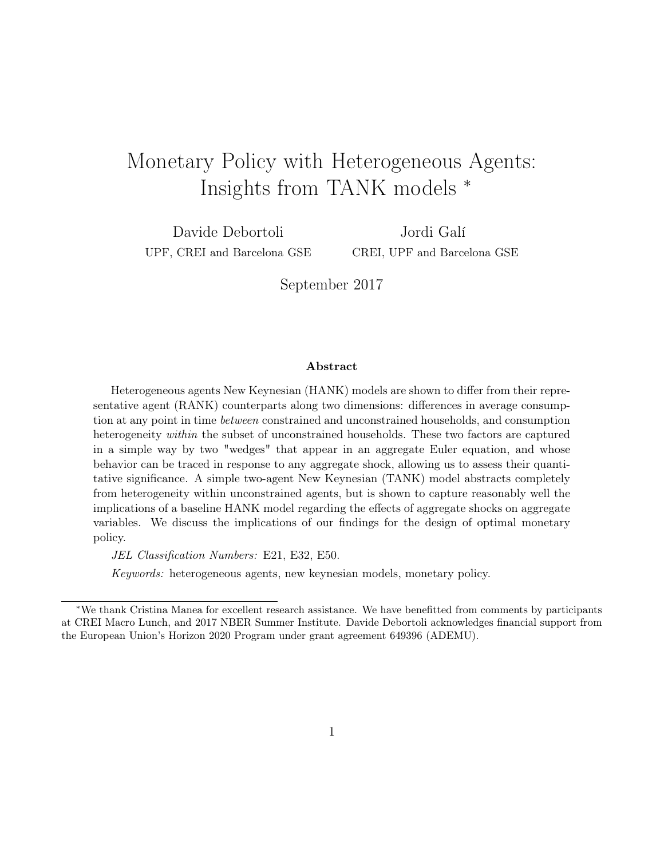# Monetary Policy with Heterogeneous Agents: Insights from TANK models <sup>∗</sup>

Davide Debortoli UPF, CREI and Barcelona GSE

Jordi Galí CREI, UPF and Barcelona GSE

September 2017

#### Abstract

Heterogeneous agents New Keynesian (HANK) models are shown to differ from their representative agent (RANK) counterparts along two dimensions: differences in average consumption at any point in time between constrained and unconstrained households, and consumption heterogeneity *within* the subset of unconstrained households. These two factors are captured in a simple way by two "wedges" that appear in an aggregate Euler equation, and whose behavior can be traced in response to any aggregate shock, allowing us to assess their quantitative significance. A simple two-agent New Keynesian (TANK) model abstracts completely from heterogeneity within unconstrained agents, but is shown to capture reasonably well the implications of a baseline HANK model regarding the effects of aggregate shocks on aggregate variables. We discuss the implications of our findings for the design of optimal monetary policy.

JEL Classification Numbers: E21, E32, E50.

Keywords: heterogeneous agents, new keynesian models, monetary policy.

<sup>∗</sup>We thank Cristina Manea for excellent research assistance. We have benefitted from comments by participants at CREI Macro Lunch, and 2017 NBER Summer Institute. Davide Debortoli acknowledges financial support from the European Union's Horizon 2020 Program under grant agreement 649396 (ADEMU).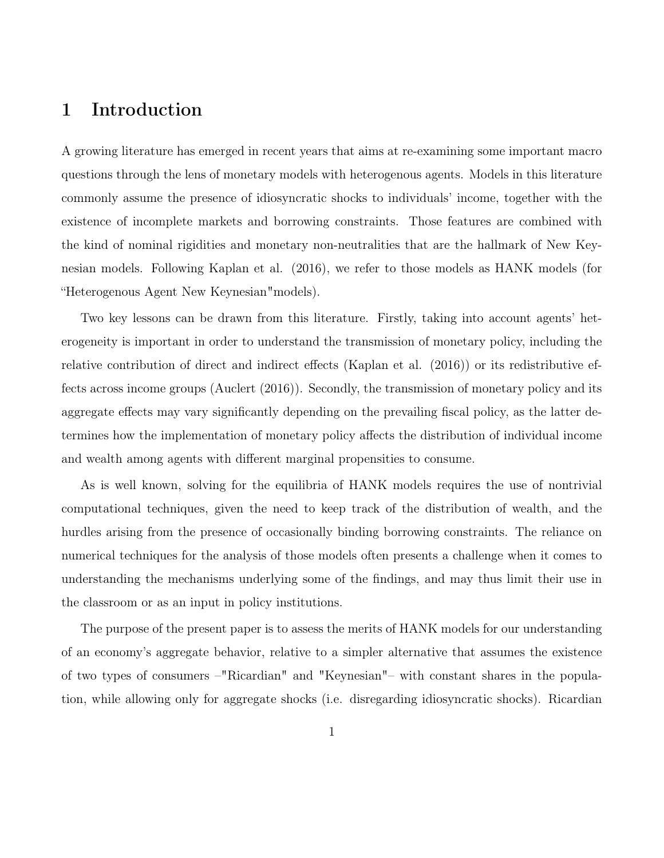# 1 Introduction

A growing literature has emerged in recent years that aims at re-examining some important macro questions through the lens of monetary models with heterogenous agents. Models in this literature commonly assume the presence of idiosyncratic shocks to individuals' income, together with the existence of incomplete markets and borrowing constraints. Those features are combined with the kind of nominal rigidities and monetary non-neutralities that are the hallmark of New Keynesian models. Following Kaplan et al. (2016), we refer to those models as HANK models (for "Heterogenous Agent New Keynesian"models).

Two key lessons can be drawn from this literature. Firstly, taking into account agents' heterogeneity is important in order to understand the transmission of monetary policy, including the relative contribution of direct and indirect effects (Kaplan et al. (2016)) or its redistributive effects across income groups (Auclert (2016)). Secondly, the transmission of monetary policy and its aggregate effects may vary significantly depending on the prevailing fiscal policy, as the latter determines how the implementation of monetary policy affects the distribution of individual income and wealth among agents with different marginal propensities to consume.

As is well known, solving for the equilibria of HANK models requires the use of nontrivial computational techniques, given the need to keep track of the distribution of wealth, and the hurdles arising from the presence of occasionally binding borrowing constraints. The reliance on numerical techniques for the analysis of those models often presents a challenge when it comes to understanding the mechanisms underlying some of the findings, and may thus limit their use in the classroom or as an input in policy institutions.

The purpose of the present paper is to assess the merits of HANK models for our understanding of an economy's aggregate behavior, relative to a simpler alternative that assumes the existence of two types of consumers –"Ricardian" and "Keynesian"– with constant shares in the population, while allowing only for aggregate shocks (i.e. disregarding idiosyncratic shocks). Ricardian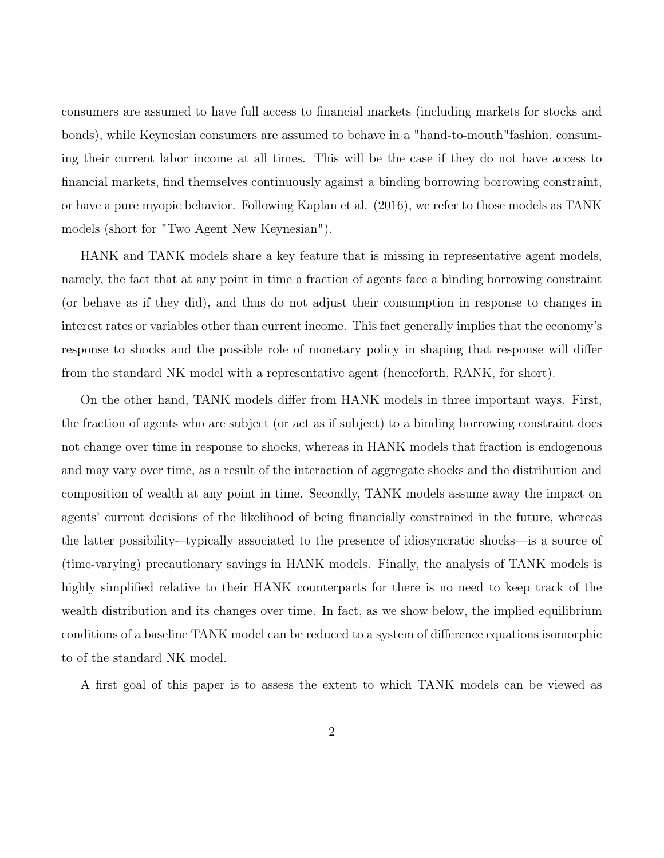consumers are assumed to have full access to financial markets (including markets for stocks and bonds), while Keynesian consumers are assumed to behave in a "hand-to-mouth"fashion, consuming their current labor income at all times. This will be the case if they do not have access to financial markets, find themselves continuously against a binding borrowing borrowing constraint, or have a pure myopic behavior. Following Kaplan et al. (2016), we refer to those models as TANK models (short for "Two Agent New Keynesian").

HANK and TANK models share a key feature that is missing in representative agent models, namely, the fact that at any point in time a fraction of agents face a binding borrowing constraint (or behave as if they did), and thus do not adjust their consumption in response to changes in interest rates or variables other than current income. This fact generally implies that the economy's response to shocks and the possible role of monetary policy in shaping that response will differ from the standard NK model with a representative agent (henceforth, RANK, for short).

On the other hand, TANK models differ from HANK models in three important ways. First, the fraction of agents who are subject (or act as if subject) to a binding borrowing constraint does not change over time in response to shocks, whereas in HANK models that fraction is endogenous and may vary over time, as a result of the interaction of aggregate shocks and the distribution and composition of wealth at any point in time. Secondly, TANK models assume away the impact on agents' current decisions of the likelihood of being financially constrained in the future, whereas the latter possibility-–typically associated to the presence of idiosyncratic shocks—is a source of (time-varying) precautionary savings in HANK models. Finally, the analysis of TANK models is highly simplified relative to their HANK counterparts for there is no need to keep track of the wealth distribution and its changes over time. In fact, as we show below, the implied equilibrium conditions of a baseline TANK model can be reduced to a system of difference equations isomorphic to of the standard NK model.

A first goal of this paper is to assess the extent to which TANK models can be viewed as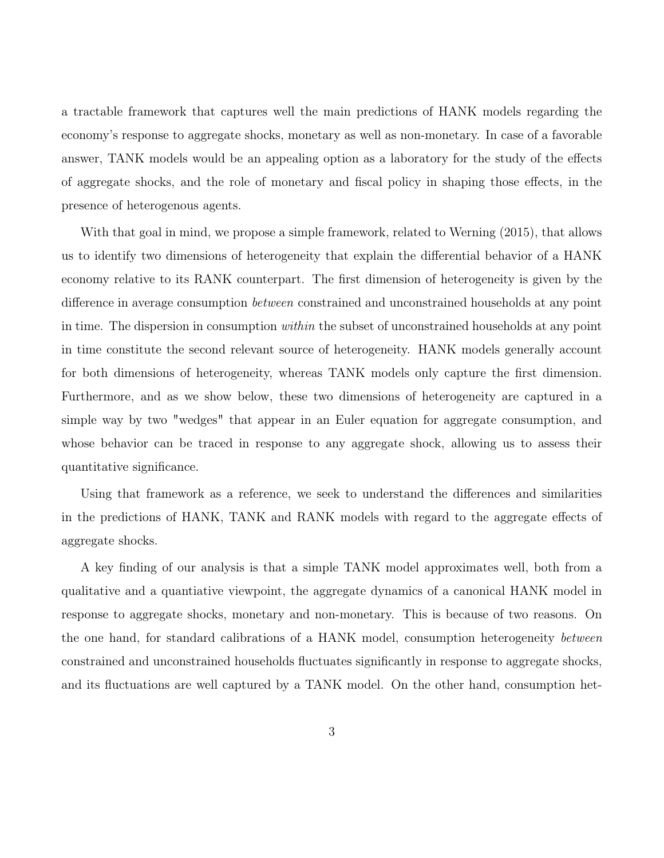a tractable framework that captures well the main predictions of HANK models regarding the economy's response to aggregate shocks, monetary as well as non-monetary. In case of a favorable answer, TANK models would be an appealing option as a laboratory for the study of the effects of aggregate shocks, and the role of monetary and fiscal policy in shaping those effects, in the presence of heterogenous agents.

With that goal in mind, we propose a simple framework, related to Werning (2015), that allows us to identify two dimensions of heterogeneity that explain the differential behavior of a HANK economy relative to its RANK counterpart. The first dimension of heterogeneity is given by the difference in average consumption between constrained and unconstrained households at any point in time. The dispersion in consumption *within* the subset of unconstrained households at any point in time constitute the second relevant source of heterogeneity. HANK models generally account for both dimensions of heterogeneity, whereas TANK models only capture the first dimension. Furthermore, and as we show below, these two dimensions of heterogeneity are captured in a simple way by two "wedges" that appear in an Euler equation for aggregate consumption, and whose behavior can be traced in response to any aggregate shock, allowing us to assess their quantitative significance.

Using that framework as a reference, we seek to understand the differences and similarities in the predictions of HANK, TANK and RANK models with regard to the aggregate effects of aggregate shocks.

A key finding of our analysis is that a simple TANK model approximates well, both from a qualitative and a quantiative viewpoint, the aggregate dynamics of a canonical HANK model in response to aggregate shocks, monetary and non-monetary. This is because of two reasons. On the one hand, for standard calibrations of a HANK model, consumption heterogeneity between constrained and unconstrained households fluctuates significantly in response to aggregate shocks, and its fluctuations are well captured by a TANK model. On the other hand, consumption het-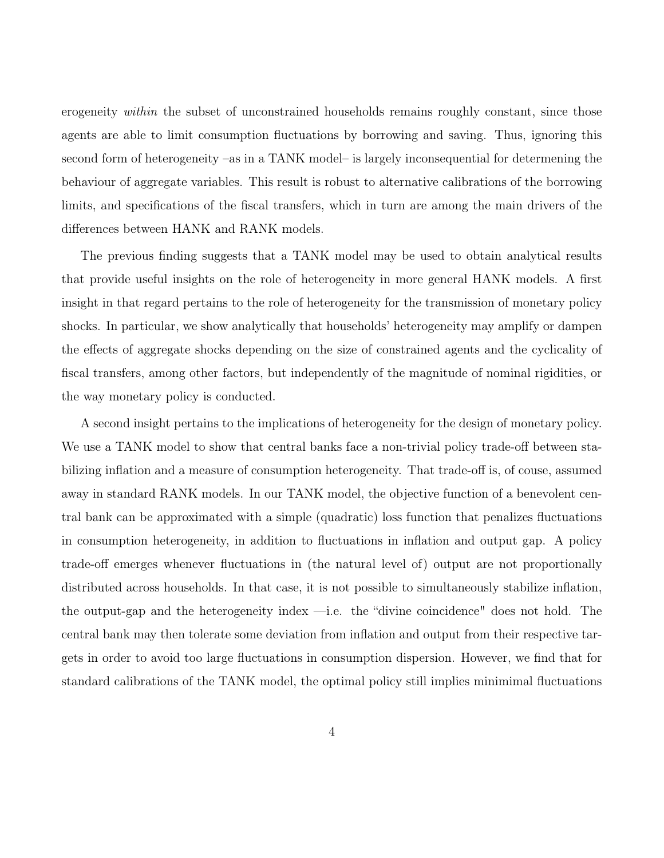erogeneity *within* the subset of unconstrained households remains roughly constant, since those agents are able to limit consumption fluctuations by borrowing and saving. Thus, ignoring this second form of heterogeneity –as in a TANK model– is largely inconsequential for determening the behaviour of aggregate variables. This result is robust to alternative calibrations of the borrowing limits, and specifications of the fiscal transfers, which in turn are among the main drivers of the differences between HANK and RANK models.

The previous finding suggests that a TANK model may be used to obtain analytical results that provide useful insights on the role of heterogeneity in more general HANK models. A first insight in that regard pertains to the role of heterogeneity for the transmission of monetary policy shocks. In particular, we show analytically that households' heterogeneity may amplify or dampen the effects of aggregate shocks depending on the size of constrained agents and the cyclicality of fiscal transfers, among other factors, but independently of the magnitude of nominal rigidities, or the way monetary policy is conducted.

A second insight pertains to the implications of heterogeneity for the design of monetary policy. We use a TANK model to show that central banks face a non-trivial policy trade-off between stabilizing inflation and a measure of consumption heterogeneity. That trade-off is, of couse, assumed away in standard RANK models. In our TANK model, the objective function of a benevolent central bank can be approximated with a simple (quadratic) loss function that penalizes fluctuations in consumption heterogeneity, in addition to fluctuations in inflation and output gap. A policy trade-off emerges whenever fluctuations in (the natural level of) output are not proportionally distributed across households. In that case, it is not possible to simultaneously stabilize inflation, the output-gap and the heterogeneity index —i.e. the "divine coincidence" does not hold. The central bank may then tolerate some deviation from inflation and output from their respective targets in order to avoid too large fluctuations in consumption dispersion. However, we find that for standard calibrations of the TANK model, the optimal policy still implies minimimal fluctuations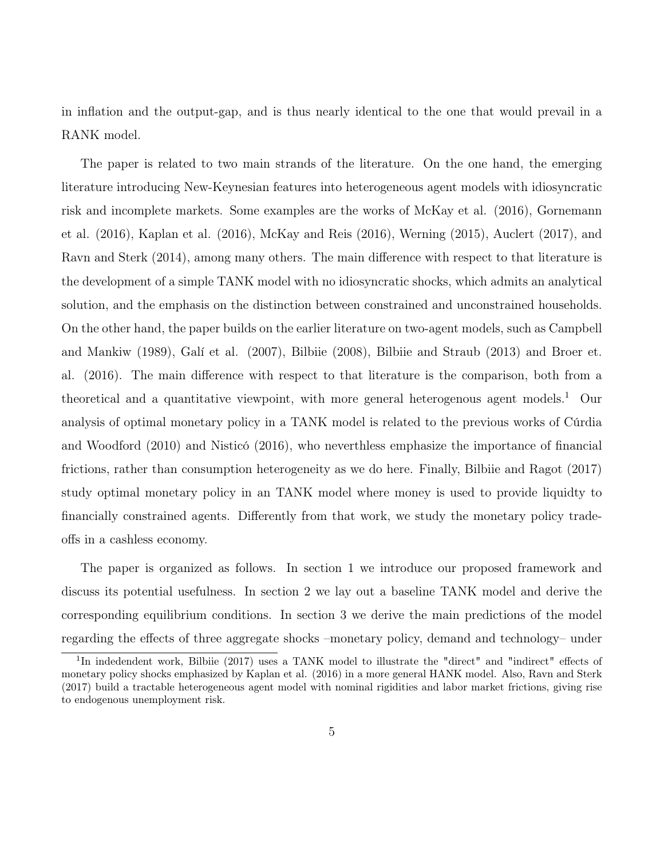in inflation and the output-gap, and is thus nearly identical to the one that would prevail in a RANK model.

The paper is related to two main strands of the literature. On the one hand, the emerging literature introducing New-Keynesian features into heterogeneous agent models with idiosyncratic risk and incomplete markets. Some examples are the works of McKay et al. (2016), Gornemann et al. (2016), Kaplan et al. (2016), McKay and Reis (2016), Werning (2015), Auclert (2017), and Ravn and Sterk (2014), among many others. The main difference with respect to that literature is the development of a simple TANK model with no idiosyncratic shocks, which admits an analytical solution, and the emphasis on the distinction between constrained and unconstrained households. On the other hand, the paper builds on the earlier literature on two-agent models, such as Campbell and Mankiw (1989), Galí et al. (2007), Bilbiie (2008), Bilbiie and Straub (2013) and Broer et. al. (2016). The main difference with respect to that literature is the comparison, both from a theoretical and a quantitative viewpoint, with more general heterogenous agent models.<sup>1</sup> Our analysis of optimal monetary policy in a TANK model is related to the previous works of Cúrdia and Woodford (2010) and Nisticó (2016), who neverthless emphasize the importance of financial frictions, rather than consumption heterogeneity as we do here. Finally, Bilbiie and Ragot (2017) study optimal monetary policy in an TANK model where money is used to provide liquidty to financially constrained agents. Differently from that work, we study the monetary policy tradeoffs in a cashless economy.

The paper is organized as follows. In section 1 we introduce our proposed framework and discuss its potential usefulness. In section 2 we lay out a baseline TANK model and derive the corresponding equilibrium conditions. In section 3 we derive the main predictions of the model regarding the effects of three aggregate shocks –monetary policy, demand and technology– under

<sup>&</sup>lt;sup>1</sup>In indedendent work, Bilbiie (2017) uses a TANK model to illustrate the "direct" and "indirect" effects of monetary policy shocks emphasized by Kaplan et al. (2016) in a more general HANK model. Also, Ravn and Sterk (2017) build a tractable heterogeneous agent model with nominal rigidities and labor market frictions, giving rise to endogenous unemployment risk.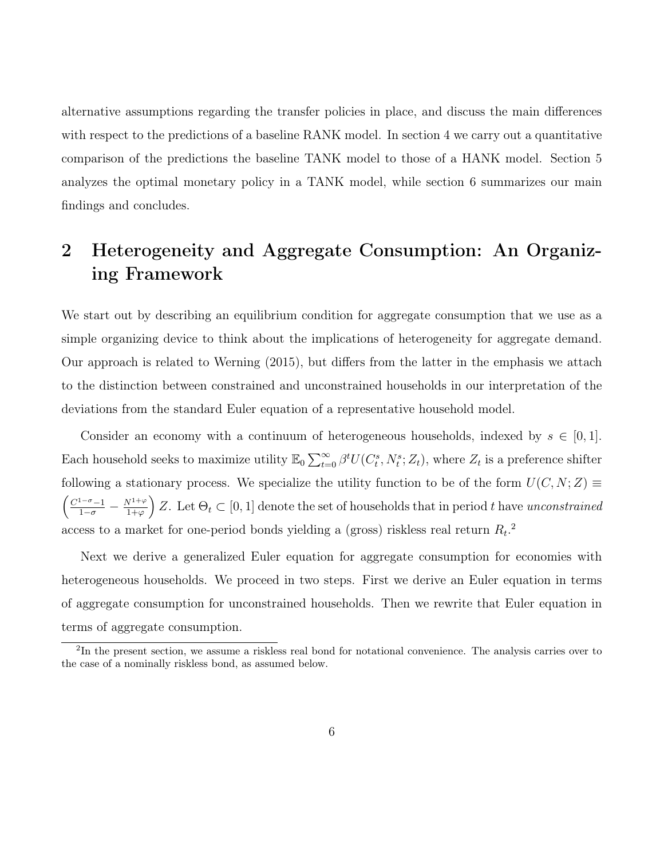alternative assumptions regarding the transfer policies in place, and discuss the main differences with respect to the predictions of a baseline RANK model. In section 4 we carry out a quantitative comparison of the predictions the baseline TANK model to those of a HANK model. Section 5 analyzes the optimal monetary policy in a TANK model, while section 6 summarizes our main findings and concludes.

# 2 Heterogeneity and Aggregate Consumption: An Organizing Framework

We start out by describing an equilibrium condition for aggregate consumption that we use as a simple organizing device to think about the implications of heterogeneity for aggregate demand. Our approach is related to Werning (2015), but differs from the latter in the emphasis we attach to the distinction between constrained and unconstrained households in our interpretation of the deviations from the standard Euler equation of a representative household model.

Consider an economy with a continuum of heterogeneous households, indexed by  $s \in [0,1]$ . Each household seeks to maximize utility  $\mathbb{E}_0 \sum_{t=0}^{\infty} \beta^t U(C_t^s, N_t^s; Z_t)$ , where  $Z_t$  is a preference shifter following a stationary process. We specialize the utility function to be of the form  $U(C, N; Z) \equiv$  $\left(\frac{C^{1-\sigma}-1}{1-\sigma}-\frac{N^{1+\varphi}}{1+\varphi}\right)$  $\left(\frac{\nabla^{1+\varphi}}{1+\varphi}\right)Z$ . Let  $\Theta_t \subset [0,1]$  denote the set of households that in period t have unconstrained access to a market for one-period bonds yielding a (gross) riskless real return  $R_t$ <sup>2</sup>

Next we derive a generalized Euler equation for aggregate consumption for economies with heterogeneous households. We proceed in two steps. First we derive an Euler equation in terms of aggregate consumption for unconstrained households. Then we rewrite that Euler equation in terms of aggregate consumption.

<sup>&</sup>lt;sup>2</sup>In the present section, we assume a riskless real bond for notational convenience. The analysis carries over to the case of a nominally riskless bond, as assumed below.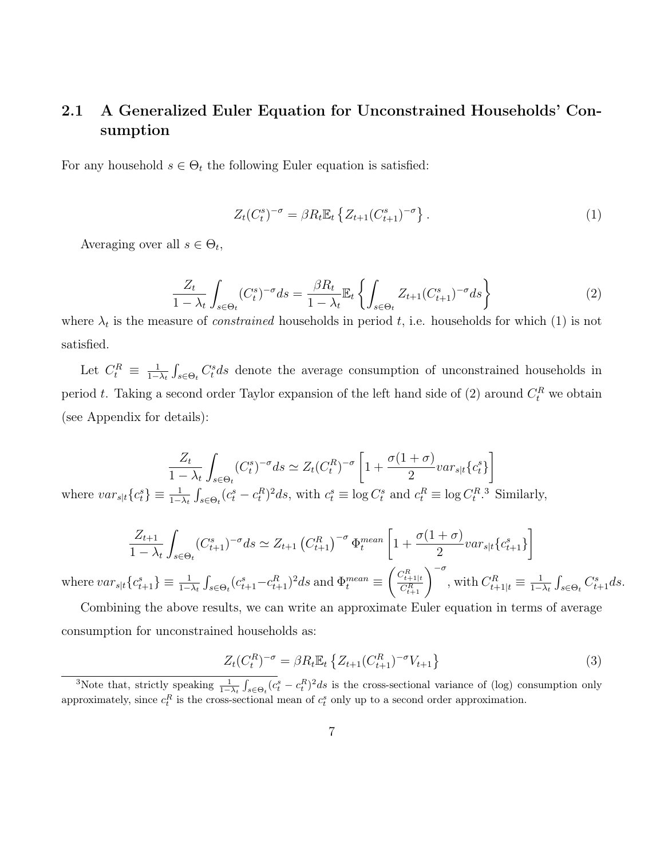## 2.1 A Generalized Euler Equation for Unconstrained Households' Consumption

For any household  $s \in \Theta_t$  the following Euler equation is satisfied:

$$
Z_t(C_t^s)^{-\sigma} = \beta R_t \mathbb{E}_t \left\{ Z_{t+1}(C_{t+1}^s)^{-\sigma} \right\}.
$$
 (1)

Averaging over all  $s \in \Theta_t$ ,

$$
\frac{Z_t}{1-\lambda_t} \int_{s \in \Theta_t} (C_t^s)^{-\sigma} ds = \frac{\beta R_t}{1-\lambda_t} \mathbb{E}_t \left\{ \int_{s \in \Theta_t} Z_{t+1} (C_{t+1}^s)^{-\sigma} ds \right\} \tag{2}
$$

where  $\lambda_t$  is the measure of *constrained* households in period t, i.e. households for which (1) is not satisfied.

Let  $C_t^R \equiv \frac{1}{1-\epsilon}$  $\frac{1}{1-\lambda_t} \int_{s \in \Theta_t} C_t^s ds$  denote the average consumption of unconstrained households in period t. Taking a second order Taylor expansion of the left hand side of (2) around  $C_t^R$  we obtain (see Appendix for details):

$$
\frac{Z_t}{1-\lambda_t} \int_{s \in \Theta_t} (C_t^s)^{-\sigma} ds \simeq Z_t (C_t^R)^{-\sigma} \left[1 + \frac{\sigma(1+\sigma)}{2} var_{s|t} \{c_t^s\} \right]
$$
  
where  $var_{s|t} \{c_t^s\} \equiv \frac{1}{1-\lambda_t} \int_{s \in \Theta_t} (c_t^s - c_t^R)^2 ds$ , with  $c_t^s \equiv \log C_t^s$  and  $c_t^R \equiv \log C_t^R$ . Similarly,

$$
\frac{Z_{t+1}}{1 - \lambda_t} \int_{s \in \Theta_t} (C_{t+1}^s)^{-\sigma} ds \simeq Z_{t+1} (C_{t+1}^R)^{-\sigma} \Phi_t^{mean} \left[ 1 + \frac{\sigma (1 + \sigma)}{2} var_{s|t} \{c_{t+1}^s\} \right]
$$
\n
$$
\int_{\Theta_t} (C_{t+1}^s)^{-\sigma} \Phi_t^{mean} = \left( \frac{C_{t+1|t}^R}{1 - \sigma} \right)^{-\sigma} \Phi_t^{inter} \left[ 1 + \frac{\sigma (1 + \sigma)}{2} \left( \frac{C_{t+1|t}^R}{1 - \sigma} \right) \right]
$$
\nwith  $C^R = \frac{1}{\sigma} \int_{\Theta_t} (C_{t+1}^s)^{-\sigma} \Phi_t^{mean} = \left( \frac{C_{t+1|t}^R}{1 - \sigma} \right)^{-\sigma} \Phi_t^{inter}$ 

where  $var_{s|t}\lbrace c_{t+1}^s\rbrace \equiv \frac{1}{1-\lambda_t} \int_{s \in \Theta_t} (c_{t+1}^s - c_{t+1}^R)^2 ds$  and  $\Phi_t^{mean} \equiv$  $\left(\frac{C_{t+1|t}^R}{C_{t+1}^R}\right)^{-\sigma}$  , with  $C_{t+1|t}^R\equiv \frac{1}{1-t}$  $\frac{1}{1-\lambda_t} \int_{s \in \Theta_t} C_{t+1}^s ds.$ 

Combining the above results, we can write an approximate Euler equation in terms of average consumption for unconstrained households as:

$$
Z_t(C_t^R)^{-\sigma} = \beta R_t \mathbb{E}_t \left\{ Z_{t+1}(C_{t+1}^R)^{-\sigma} V_{t+1} \right\} \tag{3}
$$

<sup>3</sup>Note that, strictly speaking  $\frac{1}{1-\lambda_t} \int_{s \in \Theta_t} (c_t^s - c_t^R)^2 ds$  is the cross-sectional variance of (log) consumption only approximately, since  $c_t^R$  is the cross-sectional mean of  $c_t^s$  only up to a second order approximation.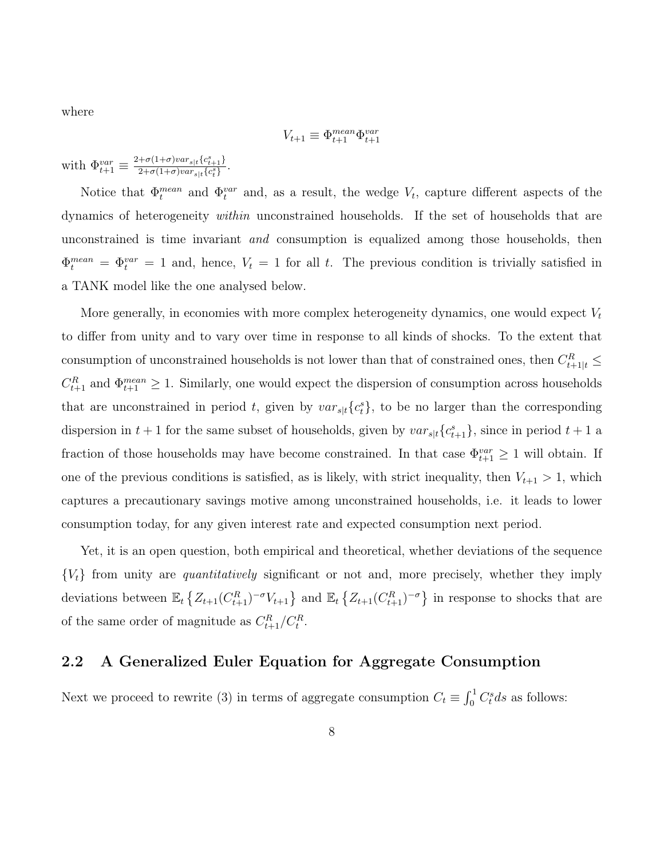where

$$
V_{t+1} \equiv \Phi_{t+1}^{mean} \Phi_{t+1}^{var}
$$

with  $\Phi_{t+1}^{var} \equiv \frac{2+\sigma(1+\sigma)var_{s|t}\{c_{t+1}^s\}}{2+\sigma(1+\sigma)var_{s|t}\{c_{t}^s\}}$  $\frac{\tau^{(1+\sigma)}(u_{s|t} + 1)^{t}}{2+\sigma(1+\sigma)var_{s|t}\{c_t^s\}}$ .

Notice that  $\Phi_t^{mean}$  and  $\Phi_t^{var}$  and, as a result, the wedge  $V_t$ , capture different aspects of the dynamics of heterogeneity within unconstrained households. If the set of households that are unconstrained is time invariant and consumption is equalized among those households, then  $\Phi_t^{mean} = \Phi_t^{var} = 1$  and, hence,  $V_t = 1$  for all t. The previous condition is trivially satisfied in a TANK model like the one analysed below.

More generally, in economies with more complex heterogeneity dynamics, one would expect  $V_t$ to differ from unity and to vary over time in response to all kinds of shocks. To the extent that consumption of unconstrained households is not lower than that of constrained ones, then  $C_{t+1|t}^R \leq$  $C_{t+1}^R$  and  $\Phi_{t+1}^{mean} \geq 1$ . Similarly, one would expect the dispersion of consumption across households that are unconstrained in period t, given by  $var_{s|t}\lbrace c_i^s\rbrace$ , to be no larger than the corresponding dispersion in  $t + 1$  for the same subset of households, given by  $var_{s|t}\lbrace c_{t+1}^s\rbrace$ , since in period  $t + 1$  a fraction of those households may have become constrained. In that case  $\Phi_{t+1}^{var} \geq 1$  will obtain. If one of the previous conditions is satisfied, as is likely, with strict inequality, then  $V_{t+1} > 1$ , which captures a precautionary savings motive among unconstrained households, i.e. it leads to lower consumption today, for any given interest rate and expected consumption next period.

Yet, it is an open question, both empirical and theoretical, whether deviations of the sequence  ${V<sub>t</sub>}$  from unity are *quantitatively* significant or not and, more precisely, whether they imply deviations between  $\mathbb{E}_t \left\{ Z_{t+1}(C_{t+1}^R)^{-\sigma} V_{t+1} \right\}$  and  $\mathbb{E}_t \left\{ Z_{t+1}(C_{t+1}^R)^{-\sigma} \right\}$  in response to shocks that are of the same order of magnitude as  $C_{t+1}^R/C_t^R$ .

## 2.2 A Generalized Euler Equation for Aggregate Consumption

Next we proceed to rewrite (3) in terms of aggregate consumption  $C_t \equiv \int_0^1 C_t^s ds$  as follows: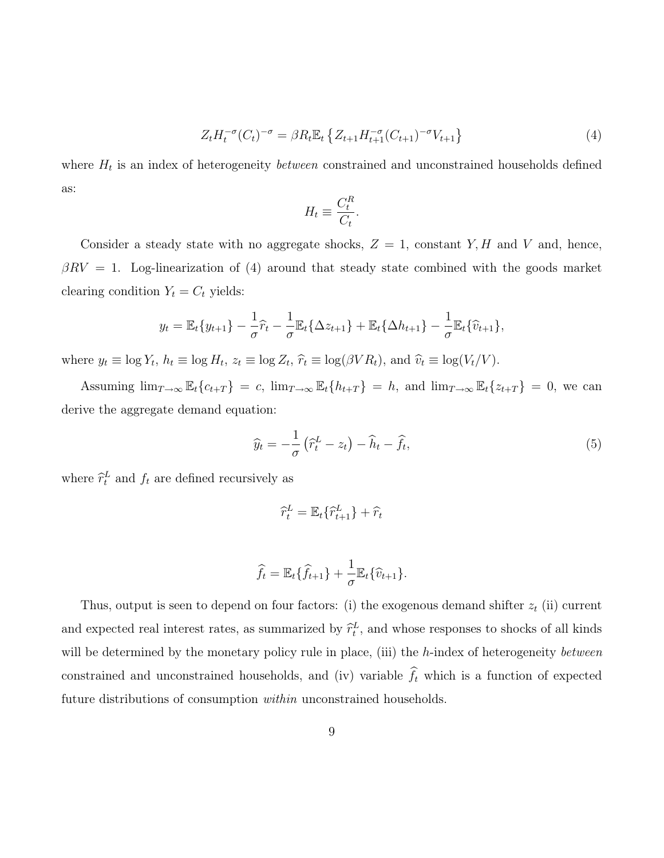$$
Z_t H_t^{-\sigma}(C_t)^{-\sigma} = \beta R_t \mathbb{E}_t \left\{ Z_{t+1} H_{t+1}^{-\sigma}(C_{t+1})^{-\sigma} V_{t+1} \right\} \tag{4}
$$

where  $H_t$  is an index of heterogeneity *between* constrained and unconstrained households defined as:

$$
H_t \equiv \frac{C_t^R}{C_t}.
$$

Consider a steady state with no aggregate shocks,  $Z = 1$ , constant Y, H and V and, hence,  $\beta RV = 1$ . Log-linearization of (4) around that steady state combined with the goods market clearing condition  $Y_t = C_t$  yields:

$$
y_t = \mathbb{E}_t \{ y_{t+1} \} - \frac{1}{\sigma} \widehat{r}_t - \frac{1}{\sigma} \mathbb{E}_t \{ \Delta z_{t+1} \} + \mathbb{E}_t \{ \Delta h_{t+1} \} - \frac{1}{\sigma} \mathbb{E}_t \{ \widehat{v}_{t+1} \},
$$

where  $y_t \equiv \log Y_t$ ,  $h_t \equiv \log H_t$ ,  $z_t \equiv \log Z_t$ ,  $\hat{r}_t \equiv \log(\beta V R_t)$ , and  $\hat{v}_t \equiv \log(V_t/V)$ .

Assuming  $\lim_{T\to\infty} \mathbb{E}_t\{c_{t+T}\} = c$ ,  $\lim_{T\to\infty} \mathbb{E}_t\{h_{t+T}\} = h$ , and  $\lim_{T\to\infty} \mathbb{E}_t\{z_{t+T}\} = 0$ , we can derive the aggregate demand equation:

$$
\widehat{y}_t = -\frac{1}{\sigma} \left( \widehat{r}_t^L - z_t \right) - \widehat{h}_t - \widehat{f}_t,\tag{5}
$$

where  $\hat{r}_t^L$  and  $f_t$  are defined recursively as

$$
\widehat{r}_t^L = \mathbb{E}_t\{\widehat{r}_{t+1}^L\} + \widehat{r}_t
$$

$$
\widehat{f_t} = \mathbb{E}_t \{ \widehat{f}_{t+1} \} + \frac{1}{\sigma} \mathbb{E}_t \{ \widehat{v}_{t+1} \}.
$$

Thus, output is seen to depend on four factors: (i) the exogenous demand shifter  $z_t$  (ii) current and expected real interest rates, as summarized by  $\hat{r}_t^L$ , and whose responses to shocks of all kinds will be determined by the monetary policy rule in place, (iii) the h-index of heterogeneity between constrained and unconstrained households, and (iv) variable  $\hat{f}_t$  which is a function of expected future distributions of consumption *within* unconstrained households.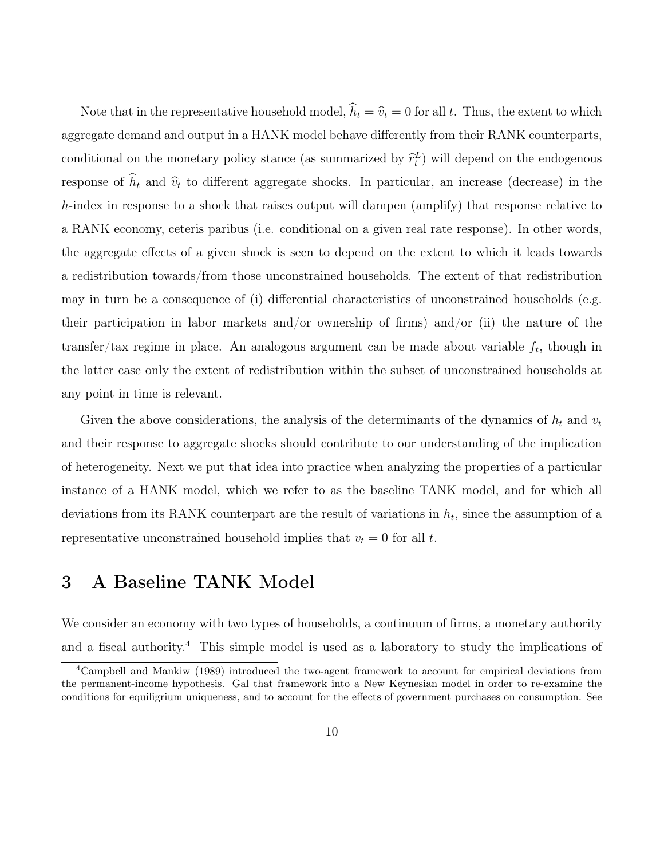Note that in the representative household model,  $\hat{h}_t = \hat{v}_t = 0$  for all t. Thus, the extent to which aggregate demand and output in a HANK model behave differently from their RANK counterparts, conditional on the monetary policy stance (as summarized by  $\hat{r}_t^L$ ) will depend on the endogenous response of  $\hat{h}_t$  and  $\hat{v}_t$  to different aggregate shocks. In particular, an increase (decrease) in the h-index in response to a shock that raises output will dampen (amplify) that response relative to a RANK economy, ceteris paribus (i.e. conditional on a given real rate response). In other words, the aggregate effects of a given shock is seen to depend on the extent to which it leads towards a redistribution towards/from those unconstrained households. The extent of that redistribution may in turn be a consequence of (i) differential characteristics of unconstrained households (e.g. their participation in labor markets and/or ownership of firms) and/or (ii) the nature of the transfer/tax regime in place. An analogous argument can be made about variable  $f_t$ , though in the latter case only the extent of redistribution within the subset of unconstrained households at any point in time is relevant.

Given the above considerations, the analysis of the determinants of the dynamics of  $h_t$  and  $v_t$ and their response to aggregate shocks should contribute to our understanding of the implication of heterogeneity. Next we put that idea into practice when analyzing the properties of a particular instance of a HANK model, which we refer to as the baseline TANK model, and for which all deviations from its RANK counterpart are the result of variations in  $h_t$ , since the assumption of a representative unconstrained household implies that  $v_t = 0$  for all t.

# 3 A Baseline TANK Model

We consider an economy with two types of households, a continuum of firms, a monetary authority and a fiscal authority.<sup>4</sup> This simple model is used as a laboratory to study the implications of

<sup>4</sup>Campbell and Mankiw (1989) introduced the two-agent framework to account for empirical deviations from the permanent-income hypothesis. Gal that framework into a New Keynesian model in order to re-examine the conditions for equiligrium uniqueness, and to account for the effects of government purchases on consumption. See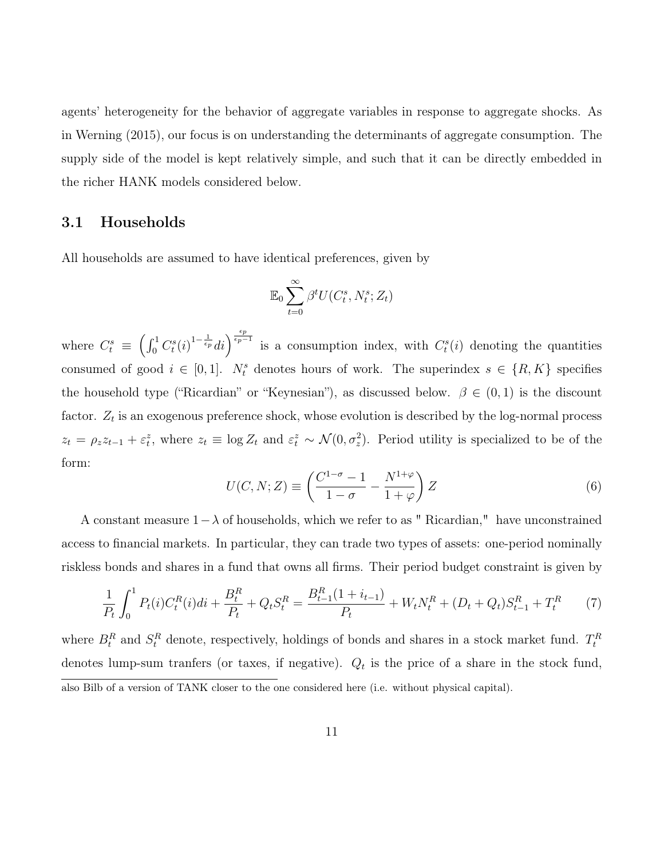agents' heterogeneity for the behavior of aggregate variables in response to aggregate shocks. As in Werning (2015), our focus is on understanding the determinants of aggregate consumption. The supply side of the model is kept relatively simple, and such that it can be directly embedded in the richer HANK models considered below.

## 3.1 Households

All households are assumed to have identical preferences, given by

$$
\mathbb{E}_0 \sum_{t=0}^{\infty} \beta^t U(C_t^s, N_t^s; Z_t)
$$

where  $C_t^s \equiv \left(\int_0^1 C_t^s(i)^{1-\frac{1}{\epsilon_p}}di\right)^{\frac{\epsilon_p}{\epsilon_p-1}}$  is a consumption index, with  $C_t^s(i)$  denoting the quantities consumed of good  $i \in [0,1]$ .  $N_t^s$  denotes hours of work. The superindex  $s \in \{R, K\}$  specifies the household type ("Ricardian" or "Keynesian"), as discussed below.  $\beta \in (0,1)$  is the discount factor.  $Z_t$  is an exogenous preference shock, whose evolution is described by the log-normal process  $z_t = \rho_z z_{t-1} + \varepsilon_t^z$ , where  $z_t \equiv \log Z_t$  and  $\varepsilon_t^z \sim \mathcal{N}(0, \sigma_z^2)$ . Period utility is specialized to be of the form:

$$
U(C, N; Z) \equiv \left(\frac{C^{1-\sigma} - 1}{1 - \sigma} - \frac{N^{1+\varphi}}{1 + \varphi}\right) Z
$$
\n(6)

A constant measure  $1-\lambda$  of households, which we refer to as " Ricardian," have unconstrained access to financial markets. In particular, they can trade two types of assets: one-period nominally riskless bonds and shares in a fund that owns all firms. Their period budget constraint is given by

$$
\frac{1}{P_t} \int_0^1 P_t(i) C_t^R(i) di + \frac{B_t^R}{P_t} + Q_t S_t^R = \frac{B_{t-1}^R (1 + i_{t-1})}{P_t} + W_t N_t^R + (D_t + Q_t) S_{t-1}^R + T_t^R \tag{7}
$$

where  $B_t^R$  and  $S_t^R$  denote, respectively, holdings of bonds and shares in a stock market fund.  $T_t^R$ denotes lump-sum tranfers (or taxes, if negative).  $Q_t$  is the price of a share in the stock fund, also Bilb of a version of TANK closer to the one considered here (i.e. without physical capital).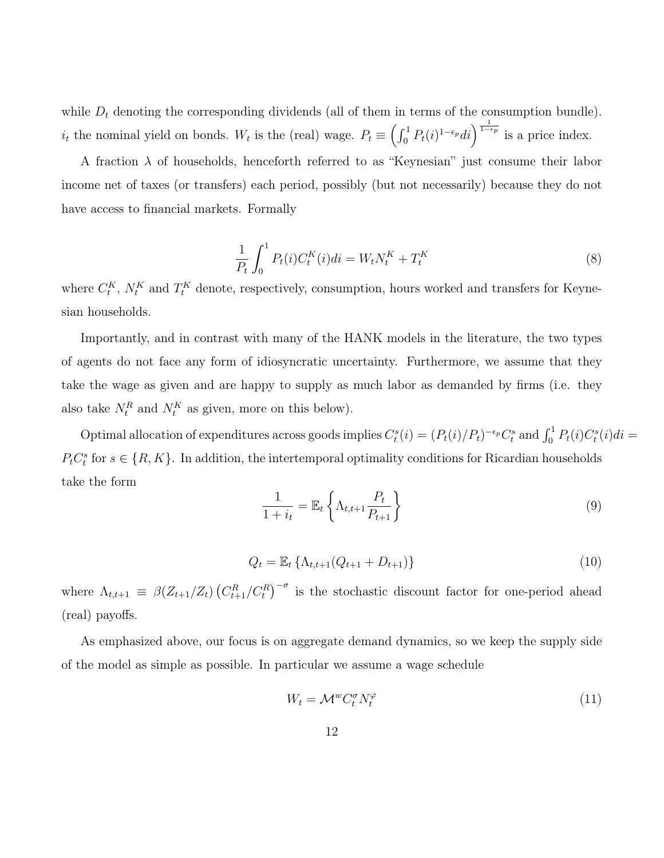while  $D_t$  denoting the corresponding dividends (all of them in terms of the consumption bundle).  $i_t$  the nominal yield on bonds. W<sub>t</sub> is the (real) wage.  $P_t \equiv \left(\int_0^1 P_t(i)^{1-\epsilon_p} di\right)^{\frac{1}{1-\epsilon_p}}$  is a price index.

A fraction  $\lambda$  of households, henceforth referred to as "Keynesian" just consume their labor income net of taxes (or transfers) each period, possibly (but not necessarily) because they do not have access to financial markets. Formally

$$
\frac{1}{P_t} \int_0^1 P_t(i) C_t^K(i) di = W_t N_t^K + T_t^K \tag{8}
$$

where  $C_t^K$ ,  $N_t^K$  and  $T_t^K$  denote, respectively, consumption, hours worked and transfers for Keynesian households.

Importantly, and in contrast with many of the HANK models in the literature, the two types of agents do not face any form of idiosyncratic uncertainty. Furthermore, we assume that they take the wage as given and are happy to supply as much labor as demanded by firms (i.e. they also take  $N_t^R$  and  $N_t^K$  as given, more on this below).

Optimal allocation of expenditures across goods implies  $C_t^s(i) = (P_t(i)/P_t)^{-\epsilon_p} C_t^s$  and  $\int_0^1 P_t(i)C_t^s(i)di =$  $P_t C_t^s$  for  $s \in \{R, K\}$ . In addition, the intertemporal optimality conditions for Ricardian households take the form

$$
\frac{1}{1+i_t} = \mathbb{E}_t \left\{ \Lambda_{t,t+1} \frac{P_t}{P_{t+1}} \right\} \tag{9}
$$

$$
Q_t = \mathbb{E}_t \left\{ \Lambda_{t,t+1} (Q_{t+1} + D_{t+1}) \right\} \tag{10}
$$

where  $\Lambda_{t,t+1} \equiv \beta(Z_{t+1}/Z_t) (C_{t+1}^R/C_t^R)^{-\sigma}$  is the stochastic discount factor for one-period ahead (real) payoffs.

As emphasized above, our focus is on aggregate demand dynamics, so we keep the supply side of the model as simple as possible. In particular we assume a wage schedule

$$
W_t = \mathcal{M}^w C_t^\sigma N_t^\varphi \tag{11}
$$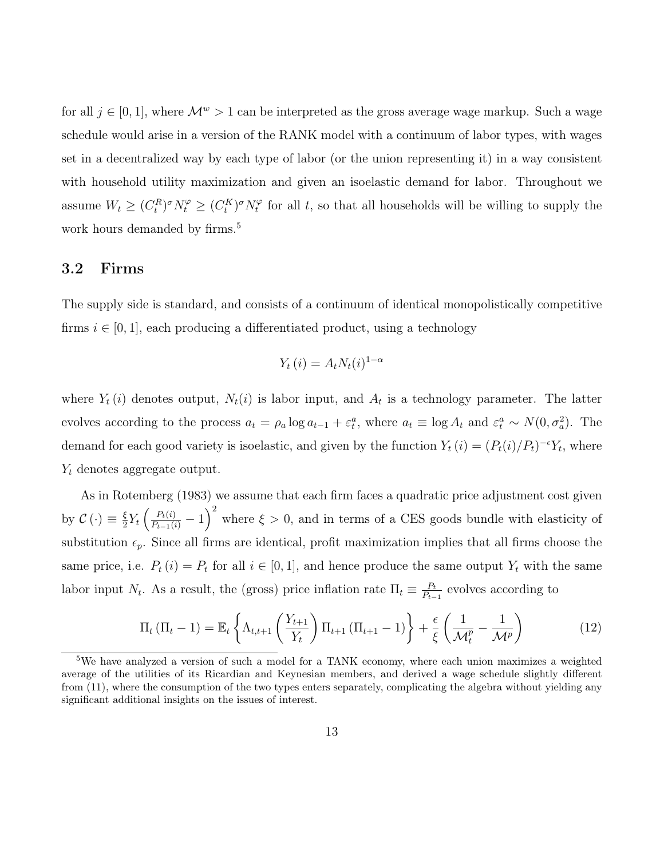for all  $j \in [0, 1]$ , where  $\mathcal{M}^w > 1$  can be interpreted as the gross average wage markup. Such a wage schedule would arise in a version of the RANK model with a continuum of labor types, with wages set in a decentralized way by each type of labor (or the union representing it) in a way consistent with household utility maximization and given an isoelastic demand for labor. Throughout we assume  $W_t \ge (C_t^R)^\sigma N_t^\varphi \ge (C_t^K)^\sigma N_t^\varphi$  $t_t^{\varphi}$  for all t, so that all households will be willing to supply the work hours demanded by firms.<sup>5</sup>

## 3.2 Firms

The supply side is standard, and consists of a continuum of identical monopolistically competitive firms  $i \in [0, 1]$ , each producing a differentiated product, using a technology

$$
Y_t(i) = A_t N_t(i)^{1-\alpha}
$$

where  $Y_t(i)$  denotes output,  $N_t(i)$  is labor input, and  $A_t$  is a technology parameter. The latter evolves according to the process  $a_t = \rho_a \log a_{t-1} + \varepsilon_t^a$ , where  $a_t \equiv \log A_t$  and  $\varepsilon_t^a \sim N(0, \sigma_a^2)$ . The demand for each good variety is isoelastic, and given by the function  $Y_t(i) = (P_t(i)/P_t)^{-\epsilon} Y_t$ , where  $Y_t$  denotes aggregate output.

As in Rotemberg (1983) we assume that each firm faces a quadratic price adjustment cost given by  $\mathcal{C}\left(\cdot\right) \equiv \frac{\xi}{2}$  $\frac{\xi}{2}Y_t\left(\frac{P_t(i)}{P_{t-1}(i)}-1\right)^2$  where  $\xi>0$ , and in terms of a CES goods bundle with elasticity of substitution  $\epsilon_p$ . Since all firms are identical, profit maximization implies that all firms choose the same price, i.e.  $P_t(i) = P_t$  for all  $i \in [0, 1]$ , and hence produce the same output  $Y_t$  with the same labor input  $N_t$ . As a result, the (gross) price inflation rate  $\Pi_t \equiv \frac{P_t}{P_t}$  $\frac{P_t}{P_{t-1}}$  evolves according to

$$
\Pi_t \left( \Pi_t - 1 \right) = \mathbb{E}_t \left\{ \Lambda_{t,t+1} \left( \frac{Y_{t+1}}{Y_t} \right) \Pi_{t+1} \left( \Pi_{t+1} - 1 \right) \right\} + \frac{\epsilon}{\xi} \left( \frac{1}{\mathcal{M}_t^p} - \frac{1}{\mathcal{M}^p} \right) \tag{12}
$$

<sup>5</sup>We have analyzed a version of such a model for a TANK economy, where each union maximizes a weighted average of the utilities of its Ricardian and Keynesian members, and derived a wage schedule slightly different from (11), where the consumption of the two types enters separately, complicating the algebra without yielding any significant additional insights on the issues of interest.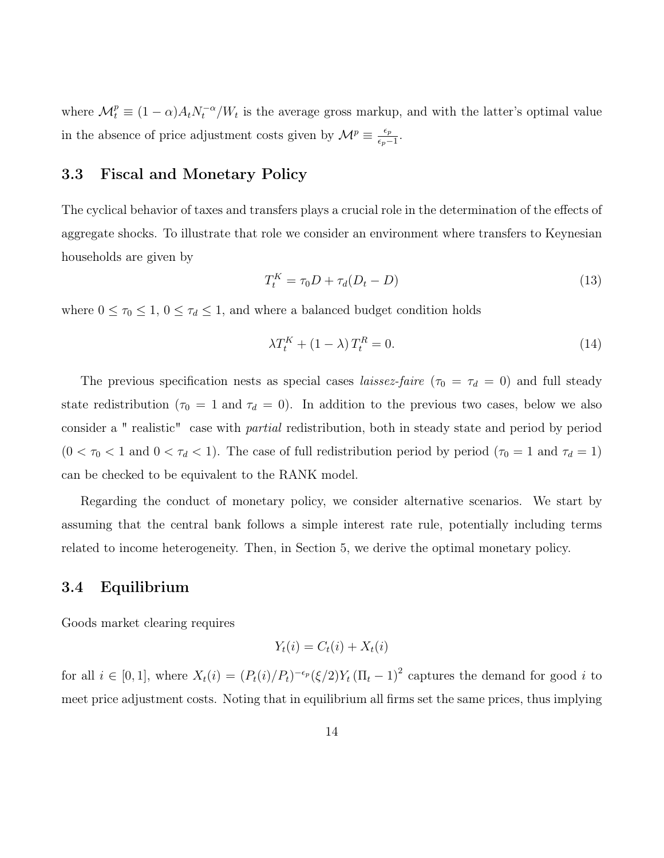where  $\mathcal{M}_t^p \equiv (1-\alpha)A_t N_t^{-\alpha}/W_t$  is the average gross markup, and with the latter's optimal value in the absence of price adjustment costs given by  $\mathcal{M}^p \equiv \frac{\epsilon_p}{\epsilon_p}$  $\frac{\epsilon_p}{\epsilon_p-1}.$ 

## 3.3 Fiscal and Monetary Policy

The cyclical behavior of taxes and transfers plays a crucial role in the determination of the effects of aggregate shocks. To illustrate that role we consider an environment where transfers to Keynesian households are given by

$$
T_t^K = \tau_0 D + \tau_d (D_t - D) \tag{13}
$$

where  $0 \leq \tau_0 \leq 1$ ,  $0 \leq \tau_d \leq 1$ , and where a balanced budget condition holds

$$
\lambda T_t^K + (1 - \lambda) T_t^R = 0. \tag{14}
$$

The previous specification nests as special cases *laissez-faire* ( $\tau_0 = \tau_d = 0$ ) and full steady state redistribution ( $\tau_0 = 1$  and  $\tau_d = 0$ ). In addition to the previous two cases, below we also consider a " realistic" case with partial redistribution, both in steady state and period by period  $(0 < \tau_0 < 1$  and  $0 < \tau_d < 1)$ . The case of full redistribution period by period  $(\tau_0 = 1$  and  $\tau_d = 1)$ can be checked to be equivalent to the RANK model.

Regarding the conduct of monetary policy, we consider alternative scenarios. We start by assuming that the central bank follows a simple interest rate rule, potentially including terms related to income heterogeneity. Then, in Section 5, we derive the optimal monetary policy.

## 3.4 Equilibrium

Goods market clearing requires

$$
Y_t(i) = C_t(i) + X_t(i)
$$

for all  $i \in [0,1]$ , where  $X_t(i) = (P_t(i)/P_t)^{-\epsilon_p} (\xi/2) Y_t (\Pi_t - 1)^2$  captures the demand for good i to meet price adjustment costs. Noting that in equilibrium all firms set the same prices, thus implying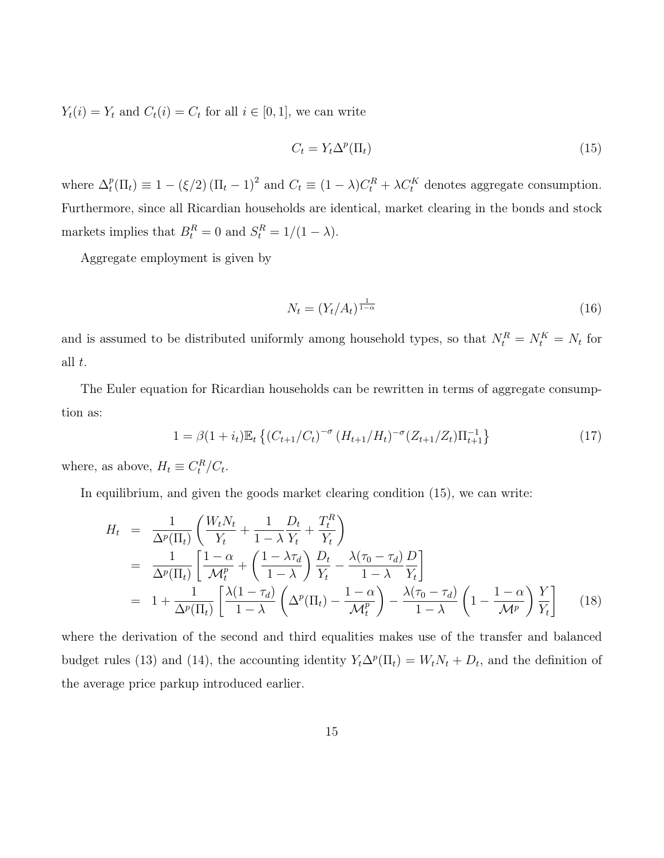$Y_t(i) = Y_t$  and  $C_t(i) = C_t$  for all  $i \in [0, 1]$ , we can write

$$
C_t = Y_t \Delta^p(\Pi_t) \tag{15}
$$

where  $\Delta_t^p$  $t_t^p(\Pi_t) \equiv 1 - (\xi/2) (\Pi_t - 1)^2$  and  $C_t \equiv (1 - \lambda)C_t^R + \lambda C_t^K$  denotes aggregate consumption. Furthermore, since all Ricardian households are identical, market clearing in the bonds and stock markets implies that  $B_t^R = 0$  and  $S_t^R = 1/(1 - \lambda)$ .

Aggregate employment is given by

$$
N_t = \left(Y_t / A_t\right)^{\frac{1}{1-\alpha}}\tag{16}
$$

and is assumed to be distributed uniformly among household types, so that  $N_t^R = N_t^K = N_t$  for all t.

The Euler equation for Ricardian households can be rewritten in terms of aggregate consumption as:

$$
1 = \beta (1 + i_t) \mathbb{E}_t \left\{ \left( C_{t+1}/C_t \right)^{-\sigma} \left( H_{t+1}/H_t \right)^{-\sigma} \left( Z_{t+1}/Z_t \right) \Pi_{t+1}^{-1} \right\} \tag{17}
$$

where, as above,  $H_t \equiv C_t^R / C_t$ .

In equilibrium, and given the goods market clearing condition (15), we can write:

$$
H_t = \frac{1}{\Delta^p(\Pi_t)} \left( \frac{W_t N_t}{Y_t} + \frac{1}{1 - \lambda} \frac{D_t}{Y_t} + \frac{T_t^R}{Y_t} \right)
$$
  
\n
$$
= \frac{1}{\Delta^p(\Pi_t)} \left[ \frac{1 - \alpha}{\mathcal{M}_t^p} + \left( \frac{1 - \lambda \tau_d}{1 - \lambda} \right) \frac{D_t}{Y_t} - \frac{\lambda(\tau_0 - \tau_d)}{1 - \lambda} \frac{D}{Y_t} \right]
$$
  
\n
$$
= 1 + \frac{1}{\Delta^p(\Pi_t)} \left[ \frac{\lambda(1 - \tau_d)}{1 - \lambda} \left( \Delta^p(\Pi_t) - \frac{1 - \alpha}{\mathcal{M}_t^p} \right) - \frac{\lambda(\tau_0 - \tau_d)}{1 - \lambda} \left( 1 - \frac{1 - \alpha}{\mathcal{M}^p} \right) \frac{Y}{Y_t} \right]
$$
(18)

where the derivation of the second and third equalities makes use of the transfer and balanced budget rules (13) and (14), the accounting identity  $Y_t \Delta^p(\Pi_t) = W_t N_t + D_t$ , and the definition of the average price parkup introduced earlier.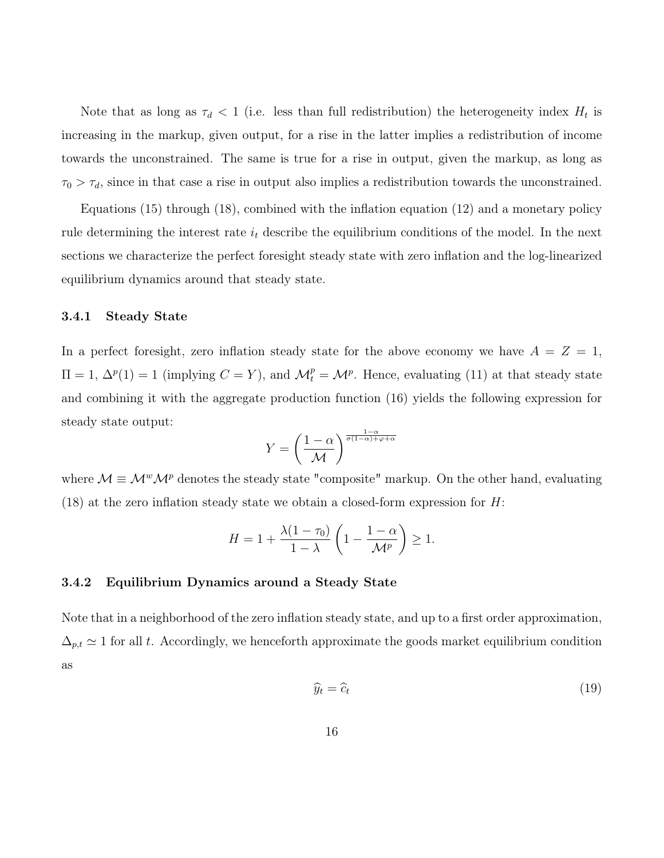Note that as long as  $\tau_d < 1$  (i.e. less than full redistribution) the heterogeneity index  $H_t$  is increasing in the markup, given output, for a rise in the latter implies a redistribution of income towards the unconstrained. The same is true for a rise in output, given the markup, as long as  $\tau_0 > \tau_d$ , since in that case a rise in output also implies a redistribution towards the unconstrained.

Equations (15) through (18), combined with the inflation equation (12) and a monetary policy rule determining the interest rate  $i_t$  describe the equilibrium conditions of the model. In the next sections we characterize the perfect foresight steady state with zero inflation and the log-linearized equilibrium dynamics around that steady state.

#### 3.4.1 Steady State

In a perfect foresight, zero inflation steady state for the above economy we have  $A = Z = 1$ ,  $\Pi = 1, \Delta^p(1) = 1$  (implying  $C = Y$ ), and  $\mathcal{M}_t^p = \mathcal{M}^p$ . Hence, evaluating (11) at that steady state and combining it with the aggregate production function (16) yields the following expression for steady state output:

$$
Y = \left(\frac{1-\alpha}{\mathcal{M}}\right)^{\frac{1-\alpha}{\sigma(1-\alpha)+\varphi+\alpha}}
$$

where  $\mathcal{M} \equiv \mathcal{M}^w \mathcal{M}^p$  denotes the steady state "composite" markup. On the other hand, evaluating  $(18)$  at the zero inflation steady state we obtain a closed-form expression for H:

$$
H = 1 + \frac{\lambda(1 - \tau_0)}{1 - \lambda} \left( 1 - \frac{1 - \alpha}{\mathcal{M}^p} \right) \ge 1.
$$

#### 3.4.2 Equilibrium Dynamics around a Steady State

Note that in a neighborhood of the zero inflation steady state, and up to a first order approximation,  $\Delta_{p,t} \simeq 1$  for all t. Accordingly, we henceforth approximate the goods market equilibrium condition as

$$
\widehat{y}_t = \widehat{c}_t \tag{19}
$$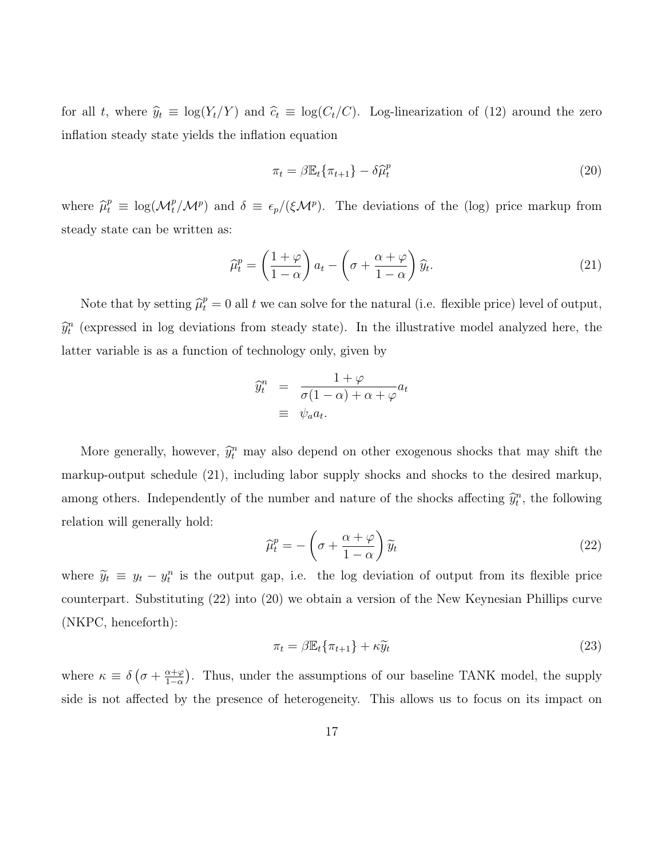for all t, where  $\hat{y}_t \equiv \log(Y_t/Y)$  and  $\hat{c}_t \equiv \log(C_t/C)$ . Log-linearization of (12) around the zero inflation steady state yields the inflation equation

$$
\pi_t = \beta \mathbb{E}_t \{ \pi_{t+1} \} - \delta \widehat{\mu}_t^p \tag{20}
$$

where  $\hat{\mu}_t^p \equiv \log(M_t^p/M^p)$  and  $\delta \equiv \epsilon_p/(\xi M^p)$ . The deviations of the (log) price markup from steady state can be written as:

$$
\widehat{\mu}_t^p = \left(\frac{1+\varphi}{1-\alpha}\right) a_t - \left(\sigma + \frac{\alpha+\varphi}{1-\alpha}\right) \widehat{y}_t.
$$
\n(21)

Note that by setting  $\hat{\mu}_t^p = 0$  all t we can solve for the natural (i.e. flexible price) level of output,  $\widehat{y}_t^n$  (expressed in log deviations from steady state). In the illustrative model analyzed here, the latter variable is as a function of technology only, given by

$$
\widehat{y}_t^n = \frac{1+\varphi}{\sigma(1-\alpha)+\alpha+\varphi}a_t
$$
  

$$
\equiv \psi_a a_t.
$$

More generally, however,  $\hat{y}_t^n$  may also depend on other exogenous shocks that may shift the markup-output schedule (21), including labor supply shocks and shocks to the desired markup, among others. Independently of the number and nature of the shocks affecting  $\hat{y}_t^n$ , the following relation will generally hold:

$$
\widehat{\mu}_t^p = -\left(\sigma + \frac{\alpha + \varphi}{1 - \alpha}\right)\widetilde{y}_t \tag{22}
$$

where  $\tilde{y}_t \equiv y_t - y_t^n$  is the output gap, i.e. the log deviation of output from its flexible price counterpart. Substituting (22) into (20) we obtain a version of the New Keynesian Phillips curve (NKPC, henceforth):

$$
\pi_t = \beta \mathbb{E}_t \{ \pi_{t+1} \} + \kappa \widetilde{y}_t \tag{23}
$$

where  $\kappa \equiv \delta \left( \sigma + \frac{\alpha + \varphi}{1 - \alpha} \right)$  $\frac{\alpha+\varphi}{1-\alpha}$ ). Thus, under the assumptions of our baseline TANK model, the supply side is not affected by the presence of heterogeneity. This allows us to focus on its impact on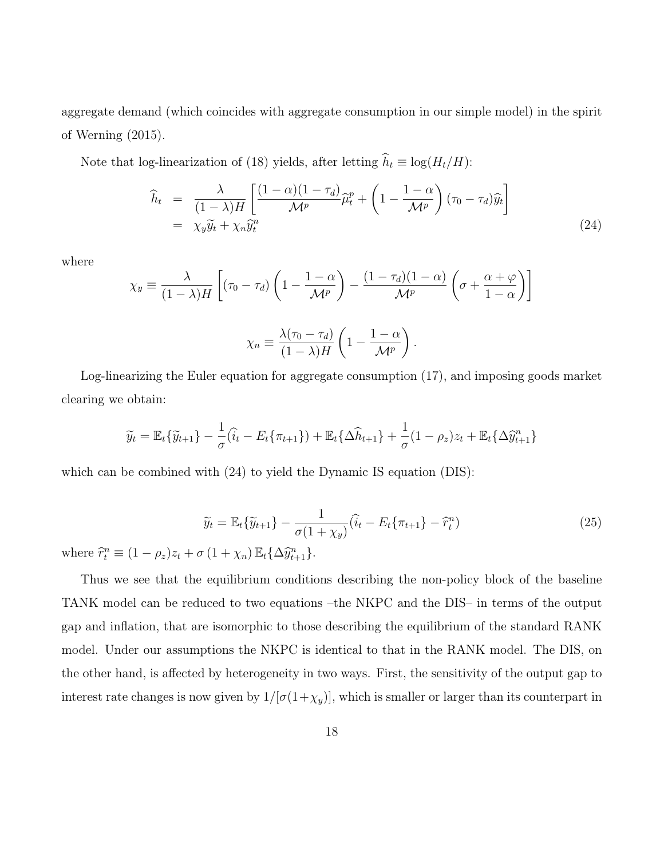aggregate demand (which coincides with aggregate consumption in our simple model) in the spirit of Werning (2015).

Note that log-linearization of (18) yields, after letting  $\widehat{h}_t \equiv \log(H_t/H)$ :

$$
\widehat{h}_t = \frac{\lambda}{(1-\lambda)H} \left[ \frac{(1-\alpha)(1-\tau_d)}{\mathcal{M}^p} \widehat{\mu}_t^p + \left(1 - \frac{1-\alpha}{\mathcal{M}^p}\right) (\tau_0 - \tau_d) \widehat{y}_t \right]
$$
\n
$$
= \chi_y \widetilde{y}_t + \chi_n \widetilde{y}_t^n \tag{24}
$$

where

$$
\chi_y \equiv \frac{\lambda}{(1-\lambda)H} \left[ (\tau_0 - \tau_d) \left( 1 - \frac{1-\alpha}{\mathcal{M}^p} \right) - \frac{(1-\tau_d)(1-\alpha)}{\mathcal{M}^p} \left( \sigma + \frac{\alpha+\varphi}{1-\alpha} \right) \right]
$$

$$
\chi_n \equiv \frac{\lambda(\tau_0 - \tau_d)}{(1-\lambda)H} \left( 1 - \frac{1-\alpha}{\mathcal{M}^p} \right).
$$

Log-linearizing the Euler equation for aggregate consumption (17), and imposing goods market clearing we obtain:

$$
\widetilde{y}_t = \mathbb{E}_t \{ \widetilde{y}_{t+1} \} - \frac{1}{\sigma} (\widehat{i}_t - E_t \{ \pi_{t+1} \}) + \mathbb{E}_t \{ \Delta \widehat{h}_{t+1} \} + \frac{1}{\sigma} (1 - \rho_z) z_t + \mathbb{E}_t \{ \Delta \widehat{y}_{t+1}^n \}
$$

which can be combined with  $(24)$  to yield the Dynamic IS equation (DIS):

$$
\widetilde{y}_t = \mathbb{E}_t \{ \widetilde{y}_{t+1} \} - \frac{1}{\sigma (1 + \chi_y)} (\widehat{i}_t - E_t \{ \pi_{t+1} \} - \widehat{r}_t^n)
$$
\n(25)

where  $\widehat{r}_t^n \equiv (1 - \rho_z)z_t + \sigma (1 + \chi_n) \mathbb{E}_t {\{\Delta \widehat{y}_{t+1}^n\}}.$ 

Thus we see that the equilibrium conditions describing the non-policy block of the baseline TANK model can be reduced to two equations –the NKPC and the DIS– in terms of the output gap and inflation, that are isomorphic to those describing the equilibrium of the standard RANK model. Under our assumptions the NKPC is identical to that in the RANK model. The DIS, on the other hand, is affected by heterogeneity in two ways. First, the sensitivity of the output gap to interest rate changes is now given by  $1/[\sigma(1+\chi_y)]$ , which is smaller or larger than its counterpart in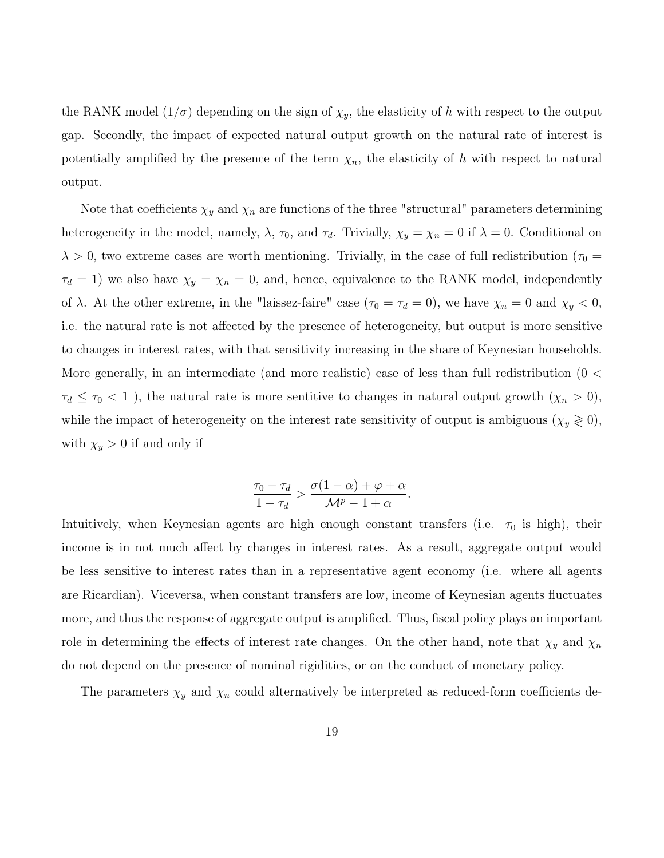the RANK model  $(1/\sigma)$  depending on the sign of  $\chi_y$ , the elasticity of h with respect to the output gap. Secondly, the impact of expected natural output growth on the natural rate of interest is potentially amplified by the presence of the term  $\chi_n$ , the elasticity of h with respect to natural output.

Note that coefficients  $\chi_y$  and  $\chi_n$  are functions of the three "structural" parameters determining heterogeneity in the model, namely,  $\lambda$ ,  $\tau_0$ , and  $\tau_d$ . Trivially,  $\chi_y = \chi_n = 0$  if  $\lambda = 0$ . Conditional on  $\lambda > 0$ , two extreme cases are worth mentioning. Trivially, in the case of full redistribution ( $\tau_0 =$  $\tau_d = 1$ ) we also have  $\chi_y = \chi_n = 0$ , and, hence, equivalence to the RANK model, independently of  $\lambda$ . At the other extreme, in the "laissez-faire" case ( $\tau_0 = \tau_d = 0$ ), we have  $\chi_n = 0$  and  $\chi_y < 0$ , i.e. the natural rate is not affected by the presence of heterogeneity, but output is more sensitive to changes in interest rates, with that sensitivity increasing in the share of Keynesian households. More generally, in an intermediate (and more realistic) case of less than full redistribution (0 <  $\tau_d \leq \tau_0 < 1$ , the natural rate is more sentitive to changes in natural output growth  $(\chi_n > 0)$ , while the impact of heterogeneity on the interest rate sensitivity of output is ambiguous ( $\chi_y \geq 0$ ), with  $\chi_y > 0$  if and only if

$$
\frac{\tau_0 - \tau_d}{1 - \tau_d} > \frac{\sigma(1 - \alpha) + \varphi + \alpha}{\mathcal{M}^p - 1 + \alpha}
$$

.

Intuitively, when Keynesian agents are high enough constant transfers (i.e.  $\tau_0$  is high), their income is in not much affect by changes in interest rates. As a result, aggregate output would be less sensitive to interest rates than in a representative agent economy (i.e. where all agents are Ricardian). Viceversa, when constant transfers are low, income of Keynesian agents fluctuates more, and thus the response of aggregate output is amplified. Thus, fiscal policy plays an important role in determining the effects of interest rate changes. On the other hand, note that  $\chi_y$  and  $\chi_n$ do not depend on the presence of nominal rigidities, or on the conduct of monetary policy.

The parameters  $\chi_y$  and  $\chi_n$  could alternatively be interpreted as reduced-form coefficients de-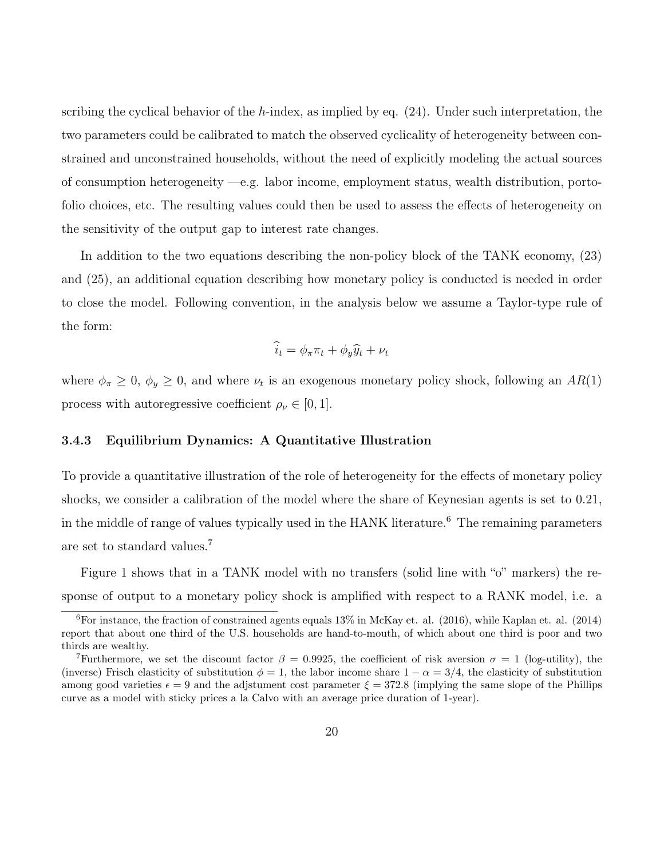scribing the cyclical behavior of the h-index, as implied by eq.  $(24)$ . Under such interpretation, the two parameters could be calibrated to match the observed cyclicality of heterogeneity between constrained and unconstrained households, without the need of explicitly modeling the actual sources of consumption heterogeneity —e.g. labor income, employment status, wealth distribution, portofolio choices, etc. The resulting values could then be used to assess the effects of heterogeneity on the sensitivity of the output gap to interest rate changes.

In addition to the two equations describing the non-policy block of the TANK economy, (23) and (25), an additional equation describing how monetary policy is conducted is needed in order to close the model. Following convention, in the analysis below we assume a Taylor-type rule of the form:

$$
\widehat{i}_t = \phi_\pi \pi_t + \phi_y \widehat{y}_t + \nu_t
$$

where  $\phi_{\pi} \geq 0$ ,  $\phi_{y} \geq 0$ , and where  $\nu_{t}$  is an exogenous monetary policy shock, following an  $AR(1)$ process with autoregressive coefficient  $\rho_{\nu} \in [0, 1]$ .

### 3.4.3 Equilibrium Dynamics: A Quantitative Illustration

To provide a quantitative illustration of the role of heterogeneity for the effects of monetary policy shocks, we consider a calibration of the model where the share of Keynesian agents is set to 0.21, in the middle of range of values typically used in the HANK literature.<sup>6</sup> The remaining parameters are set to standard values.<sup>7</sup>

Figure 1 shows that in a TANK model with no transfers (solid line with "o" markers) the response of output to a monetary policy shock is amplified with respect to a RANK model, i.e. a

<sup>&</sup>lt;sup>6</sup>For instance, the fraction of constrained agents equals  $13\%$  in McKay et. al. (2016), while Kaplan et. al. (2014) report that about one third of the U.S. households are hand-to-mouth, of which about one third is poor and two thirds are wealthy.

<sup>&</sup>lt;sup>7</sup>Furthermore, we set the discount factor  $\beta = 0.9925$ , the coefficient of risk aversion  $\sigma = 1$  (log-utility), the (inverse) Frisch elasticity of substitution  $\phi = 1$ , the labor income share  $1 - \alpha = 3/4$ , the elasticity of substitution among good varieties  $\epsilon = 9$  and the adjstument cost parameter  $\xi = 372.8$  (implying the same slope of the Phillips curve as a model with sticky prices a la Calvo with an average price duration of 1-year).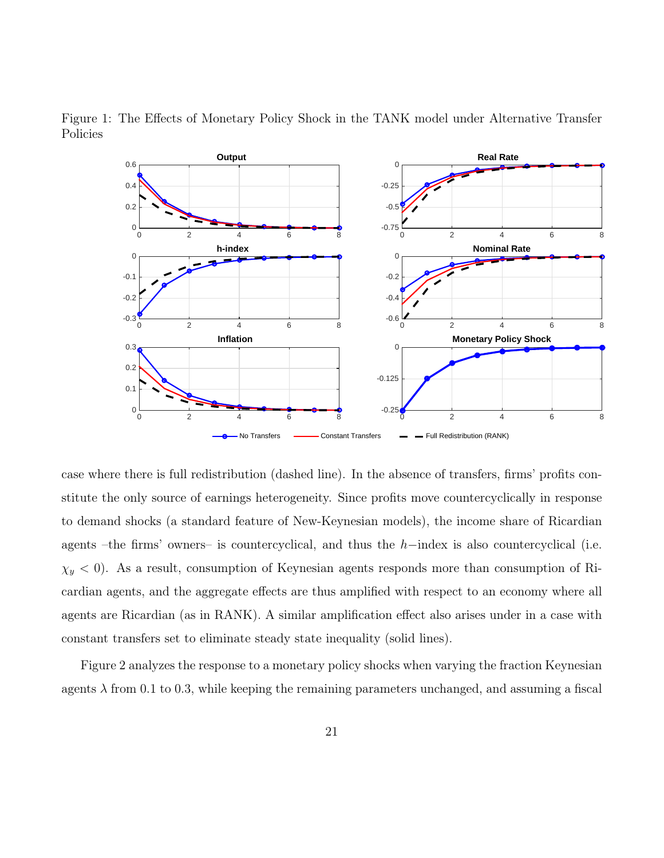

Figure 1: The Effects of Monetary Policy Shock in the TANK model under Alternative Transfer Policies

case where there is full redistribution (dashed line). In the absence of transfers, firms' profits constitute the only source of earnings heterogeneity. Since profits move countercyclically in response to demand shocks (a standard feature of New-Keynesian models), the income share of Ricardian agents –the firms' owners– is countercyclical, and thus the  $h$ –index is also countercyclical (i.e.  $\chi_y$  < 0). As a result, consumption of Keynesian agents responds more than consumption of Ricardian agents, and the aggregate effects are thus amplified with respect to an economy where all agents are Ricardian (as in RANK). A similar amplification effect also arises under in a case with constant transfers set to eliminate steady state inequality (solid lines).

Figure 2 analyzes the response to a monetary policy shocks when varying the fraction Keynesian agents  $\lambda$  from 0.1 to 0.3, while keeping the remaining parameters unchanged, and assuming a fiscal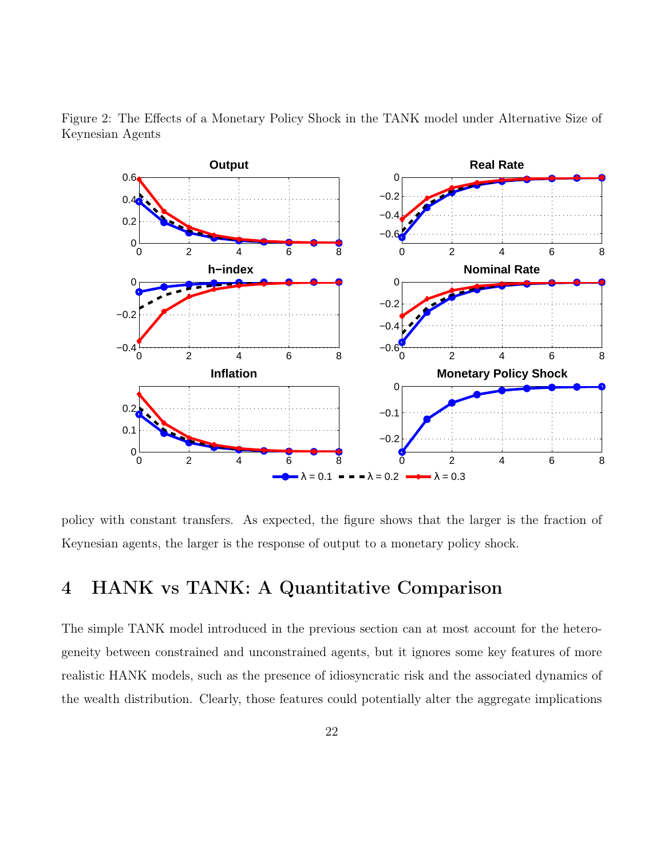

Figure 2: The Effects of a Monetary Policy Shock in the TANK model under Alternative Size of Keynesian Agents

policy with constant transfers. As expected, the figure shows that the larger is the fraction of Keynesian agents, the larger is the response of output to a monetary policy shock.

# 4 HANK vs TANK: A Quantitative Comparison

The simple TANK model introduced in the previous section can at most account for the heterogeneity between constrained and unconstrained agents, but it ignores some key features of more realistic HANK models, such as the presence of idiosyncratic risk and the associated dynamics of the wealth distribution. Clearly, those features could potentially alter the aggregate implications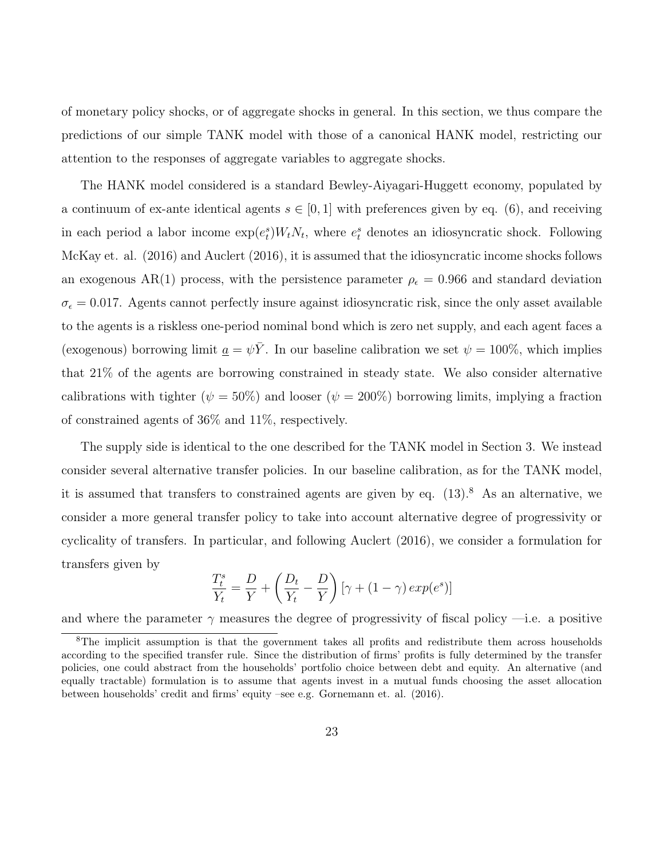of monetary policy shocks, or of aggregate shocks in general. In this section, we thus compare the predictions of our simple TANK model with those of a canonical HANK model, restricting our attention to the responses of aggregate variables to aggregate shocks.

The HANK model considered is a standard Bewley-Aiyagari-Huggett economy, populated by a continuum of ex-ante identical agents  $s \in [0,1]$  with preferences given by eq. (6), and receiving in each period a labor income  $\exp(e_t^s)W_tN_t$ , where  $e_t^s$  denotes an idiosyncratic shock. Following McKay et. al. (2016) and Auclert (2016), it is assumed that the idiosyncratic income shocks follows an exogenous AR(1) process, with the persistence parameter  $\rho_{\epsilon} = 0.966$  and standard deviation  $\sigma_{\epsilon} = 0.017$ . Agents cannot perfectly insure against idiosyncratic risk, since the only asset available to the agents is a riskless one-period nominal bond which is zero net supply, and each agent faces a (exogenous) borrowing limit  $\underline{a} = \psi \overline{Y}$ . In our baseline calibration we set  $\psi = 100\%$ , which implies that 21% of the agents are borrowing constrained in steady state. We also consider alternative calibrations with tighter ( $\psi = 50\%$ ) and looser ( $\psi = 200\%$ ) borrowing limits, implying a fraction of constrained agents of 36% and 11%, respectively.

The supply side is identical to the one described for the TANK model in Section 3. We instead consider several alternative transfer policies. In our baseline calibration, as for the TANK model, it is assumed that transfers to constrained agents are given by eq.  $(13)$ .<sup>8</sup> As an alternative, we consider a more general transfer policy to take into account alternative degree of progressivity or cyclicality of transfers. In particular, and following Auclert (2016), we consider a formulation for transfers given by

$$
\frac{T_t^s}{Y_t} = \frac{D}{Y} + \left(\frac{D_t}{Y_t} - \frac{D}{Y}\right) \left[\gamma + (1 - \gamma) \exp(e^s)\right]
$$

and where the parameter  $\gamma$  measures the degree of progressivity of fiscal policy —i.e. a positive

<sup>8</sup>The implicit assumption is that the government takes all profits and redistribute them across households according to the specified transfer rule. Since the distribution of firms' profits is fully determined by the transfer policies, one could abstract from the households' portfolio choice between debt and equity. An alternative (and equally tractable) formulation is to assume that agents invest in a mutual funds choosing the asset allocation between households' credit and firms' equity –see e.g. Gornemann et. al. (2016).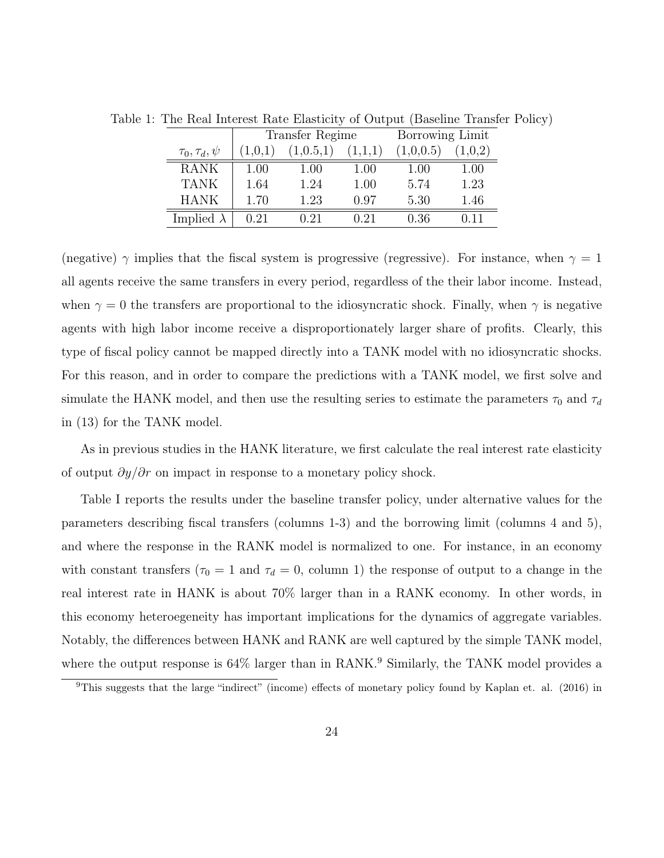|                        | <b>Transfer Regime</b> |             |         | Borrowing Limit |         |
|------------------------|------------------------|-------------|---------|-----------------|---------|
| $\tau_0, \tau_d, \psi$ | (1,0,1)                | (1, 0.5, 1) | (1,1,1) | (1,0,0.5)       | (1,0,2) |
| <b>RANK</b>            | 1.00                   | 1.00        | 1.00    | 1.00            | 1.00    |
| <b>TANK</b>            | 1.64                   | 1.24        | 1.00    | 5.74            | 1.23    |
| <b>HANK</b>            | 1.70                   | 1.23        | 0.97    | 5.30            | 1.46    |
| Implied $\lambda$      | 0.21                   | 0.21        | 0.21    | 0.36            | በ 11    |

Table 1: The Real Interest Rate Elasticity of Output (Baseline Transfer Policy)

(negative)  $\gamma$  implies that the fiscal system is progressive (regressive). For instance, when  $\gamma = 1$ all agents receive the same transfers in every period, regardless of the their labor income. Instead, when  $\gamma = 0$  the transfers are proportional to the idiosyncratic shock. Finally, when  $\gamma$  is negative agents with high labor income receive a disproportionately larger share of profits. Clearly, this type of fiscal policy cannot be mapped directly into a TANK model with no idiosyncratic shocks. For this reason, and in order to compare the predictions with a TANK model, we first solve and simulate the HANK model, and then use the resulting series to estimate the parameters  $\tau_0$  and  $\tau_d$ in (13) for the TANK model.

As in previous studies in the HANK literature, we first calculate the real interest rate elasticity of output  $\partial y/\partial r$  on impact in response to a monetary policy shock.

Table I reports the results under the baseline transfer policy, under alternative values for the parameters describing fiscal transfers (columns 1-3) and the borrowing limit (columns 4 and 5), and where the response in the RANK model is normalized to one. For instance, in an economy with constant transfers ( $\tau_0 = 1$  and  $\tau_d = 0$ , column 1) the response of output to a change in the real interest rate in HANK is about 70% larger than in a RANK economy. In other words, in this economy heteroegeneity has important implications for the dynamics of aggregate variables. Notably, the differences between HANK and RANK are well captured by the simple TANK model, where the output response is  $64\%$  larger than in RANK.<sup>9</sup> Similarly, the TANK model provides a

<sup>9</sup>This suggests that the large "indirect" (income) effects of monetary policy found by Kaplan et. al. (2016) in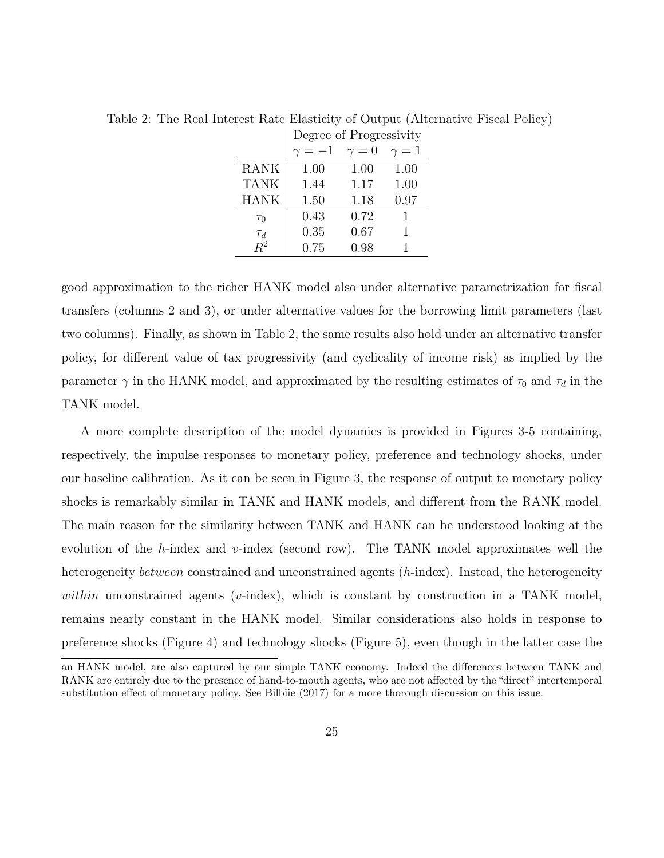|             | Degree of Progressivity |            |            |  |  |
|-------------|-------------------------|------------|------------|--|--|
|             |                         | $\gamma=0$ | $\gamma=1$ |  |  |
| <b>RANK</b> | 1.00                    | 1.00       | 1.00       |  |  |
| <b>TANK</b> | 1.44                    | 1.17       | 1.00       |  |  |
| <b>HANK</b> | 1.50                    | 1.18       | 0.97       |  |  |
| $\tau_0$    | 0.43                    | 0.72       |            |  |  |
| $\tau_d$    | 0.35                    | 0.67       |            |  |  |
| $R^2$       | 0.75                    | 0.98       |            |  |  |

Table 2: The Real Interest Rate Elasticity of Output (Alternative Fiscal Policy)

good approximation to the richer HANK model also under alternative parametrization for fiscal transfers (columns 2 and 3), or under alternative values for the borrowing limit parameters (last two columns). Finally, as shown in Table 2, the same results also hold under an alternative transfer policy, for different value of tax progressivity (and cyclicality of income risk) as implied by the parameter  $\gamma$  in the HANK model, and approximated by the resulting estimates of  $\tau_0$  and  $\tau_d$  in the TANK model.

A more complete description of the model dynamics is provided in Figures 3-5 containing, respectively, the impulse responses to monetary policy, preference and technology shocks, under our baseline calibration. As it can be seen in Figure 3, the response of output to monetary policy shocks is remarkably similar in TANK and HANK models, and different from the RANK model. The main reason for the similarity between TANK and HANK can be understood looking at the evolution of the  $h$ -index and  $v$ -index (second row). The TANK model approximates well the heterogeneity *between* constrained and unconstrained agents (*h*-index). Instead, the heterogeneity within unconstrained agents (v-index), which is constant by construction in a TANK model, remains nearly constant in the HANK model. Similar considerations also holds in response to preference shocks (Figure 4) and technology shocks (Figure 5), even though in the latter case the

an HANK model, are also captured by our simple TANK economy. Indeed the differences between TANK and RANK are entirely due to the presence of hand-to-mouth agents, who are not affected by the "direct" intertemporal substitution effect of monetary policy. See Bilbiie (2017) for a more thorough discussion on this issue.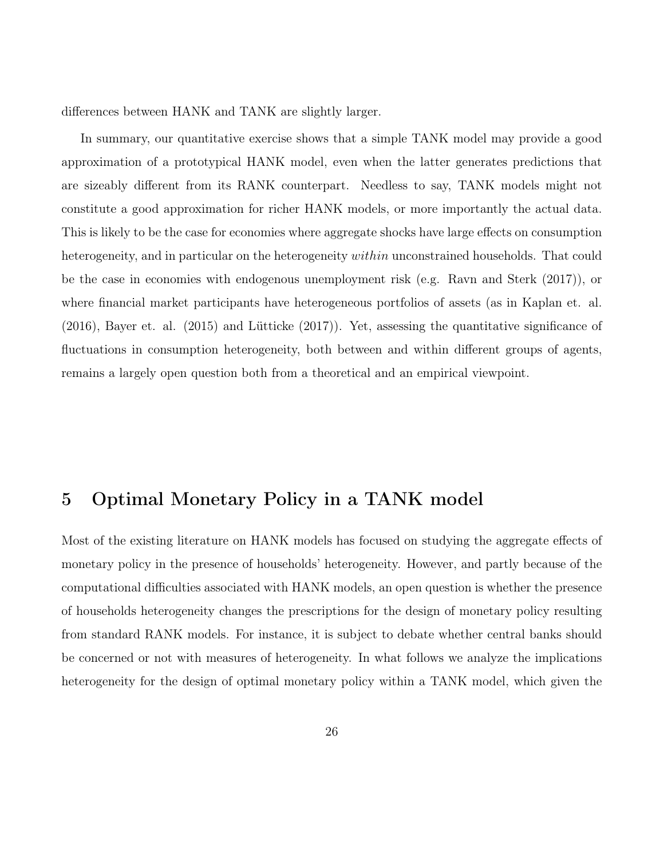differences between HANK and TANK are slightly larger.

In summary, our quantitative exercise shows that a simple TANK model may provide a good approximation of a prototypical HANK model, even when the latter generates predictions that are sizeably different from its RANK counterpart. Needless to say, TANK models might not constitute a good approximation for richer HANK models, or more importantly the actual data. This is likely to be the case for economies where aggregate shocks have large effects on consumption heterogeneity, and in particular on the heterogeneity *within* unconstrained households. That could be the case in economies with endogenous unemployment risk (e.g. Ravn and Sterk (2017)), or where financial market participants have heterogeneous portfolios of assets (as in Kaplan et. al. (2016), Bayer et. al. (2015) and Lütticke (2017)). Yet, assessing the quantitative significance of fluctuations in consumption heterogeneity, both between and within different groups of agents, remains a largely open question both from a theoretical and an empirical viewpoint.

# 5 Optimal Monetary Policy in a TANK model

Most of the existing literature on HANK models has focused on studying the aggregate effects of monetary policy in the presence of households' heterogeneity. However, and partly because of the computational difficulties associated with HANK models, an open question is whether the presence of households heterogeneity changes the prescriptions for the design of monetary policy resulting from standard RANK models. For instance, it is subject to debate whether central banks should be concerned or not with measures of heterogeneity. In what follows we analyze the implications heterogeneity for the design of optimal monetary policy within a TANK model, which given the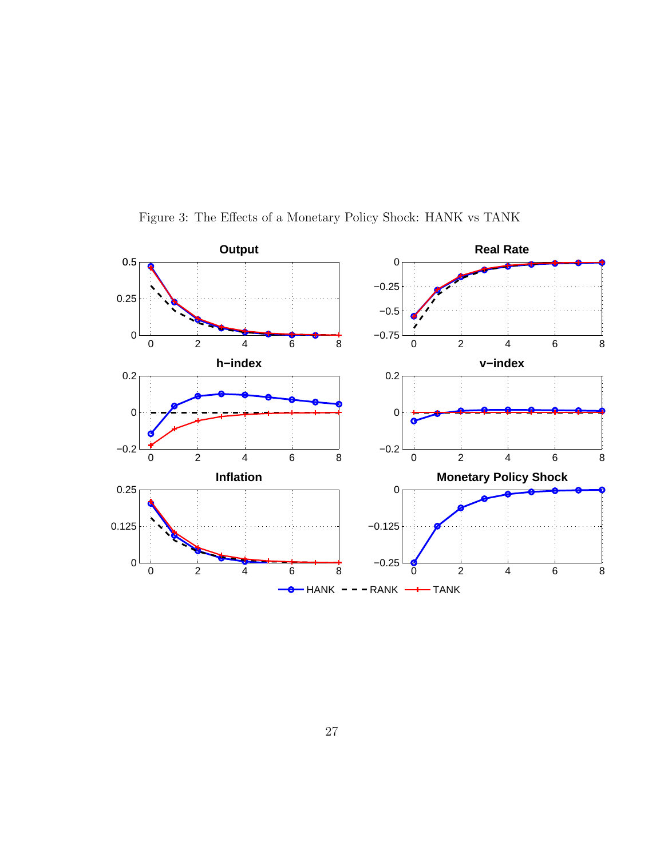

Figure 3: The Effects of a Monetary Policy Shock: HANK vs TANK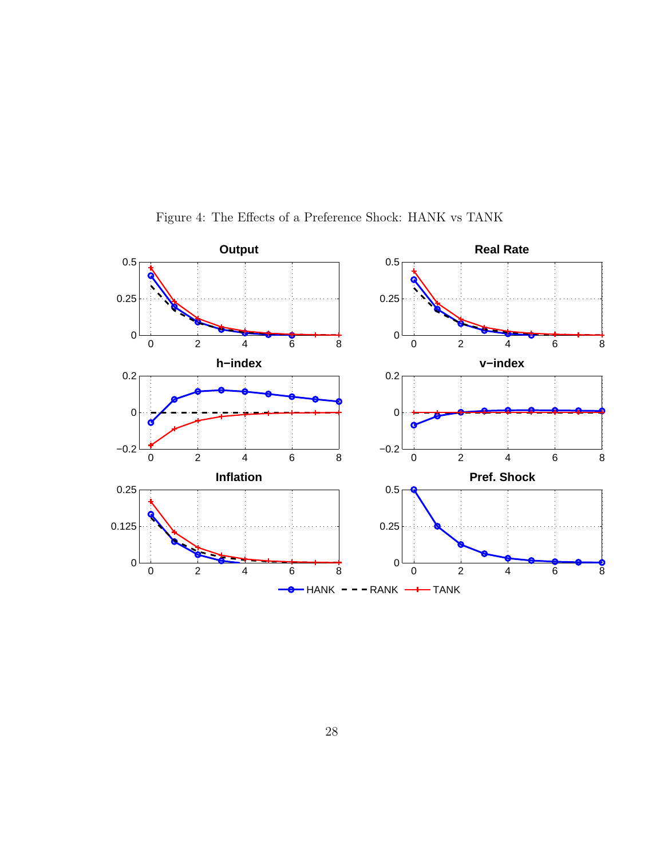

Figure 4: The Effects of a Preference Shock: HANK vs TANK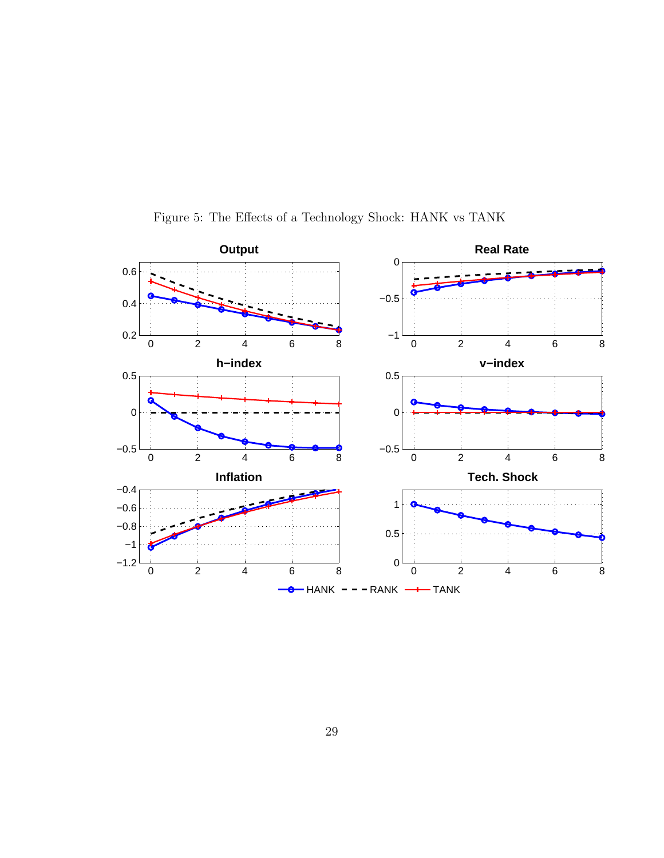

Figure 5: The Effects of a Technology Shock: HANK vs TANK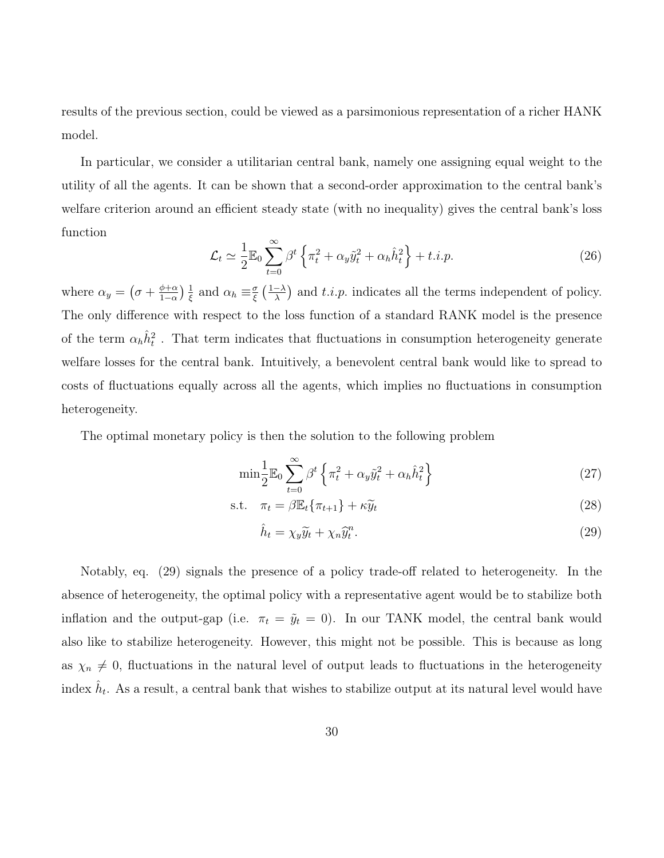results of the previous section, could be viewed as a parsimonious representation of a richer HANK model.

In particular, we consider a utilitarian central bank, namely one assigning equal weight to the utility of all the agents. It can be shown that a second-order approximation to the central bank's welfare criterion around an efficient steady state (with no inequality) gives the central bank's loss function

$$
\mathcal{L}_t \simeq \frac{1}{2} \mathbb{E}_0 \sum_{t=0}^{\infty} \beta^t \left\{ \pi_t^2 + \alpha_y \tilde{y}_t^2 + \alpha_h \hat{h}_t^2 \right\} + t.i.p. \tag{26}
$$

where  $\alpha_y = (\sigma + \frac{\phi + \alpha}{1 - \alpha})$  $\frac{\phi+\alpha}{1-\alpha}$ )  $\frac{1}{\xi}$  $rac{1}{\xi}$  and  $\alpha_h \equiv \frac{\sigma}{\xi}$  $\frac{\sigma}{\xi}$   $\left(\frac{1-\lambda}{\lambda}\right)$  $\frac{-\lambda}{\lambda}$  and t.i.p. indicates all the terms independent of policy. The only difference with respect to the loss function of a standard RANK model is the presence of the term  $\alpha_h \hat{h}_t^2$ . That term indicates that fluctuations in consumption heterogeneity generate welfare losses for the central bank. Intuitively, a benevolent central bank would like to spread to costs of fluctuations equally across all the agents, which implies no fluctuations in consumption heterogeneity.

The optimal monetary policy is then the solution to the following problem

$$
\min \frac{1}{2} \mathbb{E}_0 \sum_{t=0}^{\infty} \beta^t \left\{ \pi_t^2 + \alpha_y \tilde{y}_t^2 + \alpha_h \hat{h}_t^2 \right\} \tag{27}
$$

$$
\text{s.t.} \quad \pi_t = \beta \mathbb{E}_t \{ \pi_{t+1} \} + \kappa \widetilde{y}_t \tag{28}
$$

$$
\hat{h}_t = \chi_y \widetilde{y}_t + \chi_n \widetilde{y}_t^n. \tag{29}
$$

Notably, eq. (29) signals the presence of a policy trade-off related to heterogeneity. In the absence of heterogeneity, the optimal policy with a representative agent would be to stabilize both inflation and the output-gap (i.e.  $\pi_t = \tilde{y}_t = 0$ ). In our TANK model, the central bank would also like to stabilize heterogeneity. However, this might not be possible. This is because as long as  $\chi_n \neq 0$ , fluctuations in the natural level of output leads to fluctuations in the heterogeneity index  $\hat{h}_t$ . As a result, a central bank that wishes to stabilize output at its natural level would have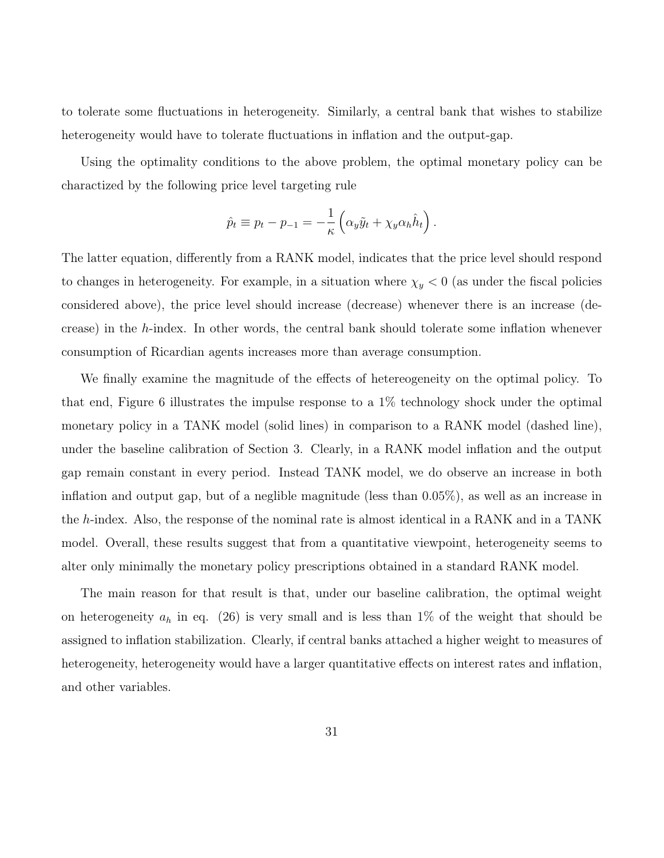to tolerate some fluctuations in heterogeneity. Similarly, a central bank that wishes to stabilize heterogeneity would have to tolerate fluctuations in inflation and the output-gap.

Using the optimality conditions to the above problem, the optimal monetary policy can be charactized by the following price level targeting rule

$$
\hat{p}_t \equiv p_t - p_{-1} = -\frac{1}{\kappa} \left( \alpha_y \tilde{y}_t + \chi_y \alpha_h \hat{h}_t \right).
$$

The latter equation, differently from a RANK model, indicates that the price level should respond to changes in heterogeneity. For example, in a situation where  $\chi_y < 0$  (as under the fiscal policies considered above), the price level should increase (decrease) whenever there is an increase (decrease) in the  $h$ -index. In other words, the central bank should tolerate some inflation whenever consumption of Ricardian agents increases more than average consumption.

We finally examine the magnitude of the effects of hetereogeneity on the optimal policy. To that end, Figure 6 illustrates the impulse response to a 1% technology shock under the optimal monetary policy in a TANK model (solid lines) in comparison to a RANK model (dashed line), under the baseline calibration of Section 3. Clearly, in a RANK model inflation and the output gap remain constant in every period. Instead TANK model, we do observe an increase in both inflation and output gap, but of a neglible magnitude (less than 0.05%), as well as an increase in the h-index. Also, the response of the nominal rate is almost identical in a RANK and in a TANK model. Overall, these results suggest that from a quantitative viewpoint, heterogeneity seems to alter only minimally the monetary policy prescriptions obtained in a standard RANK model.

The main reason for that result is that, under our baseline calibration, the optimal weight on heterogeneity  $a_h$  in eq. (26) is very small and is less than 1% of the weight that should be assigned to inflation stabilization. Clearly, if central banks attached a higher weight to measures of heterogeneity, heterogeneity would have a larger quantitative effects on interest rates and inflation, and other variables.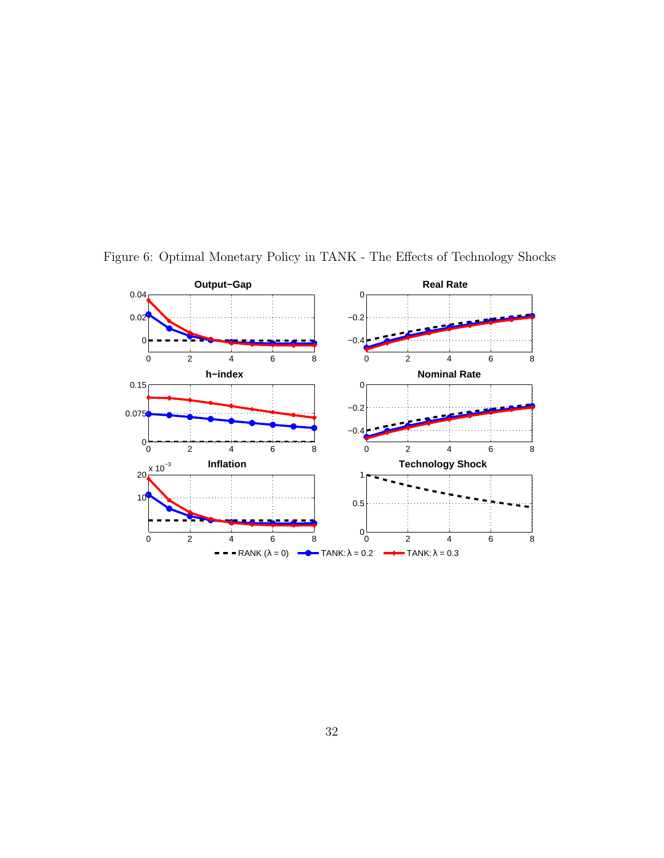

Figure 6: Optimal Monetary Policy in TANK - The Effects of Technology Shocks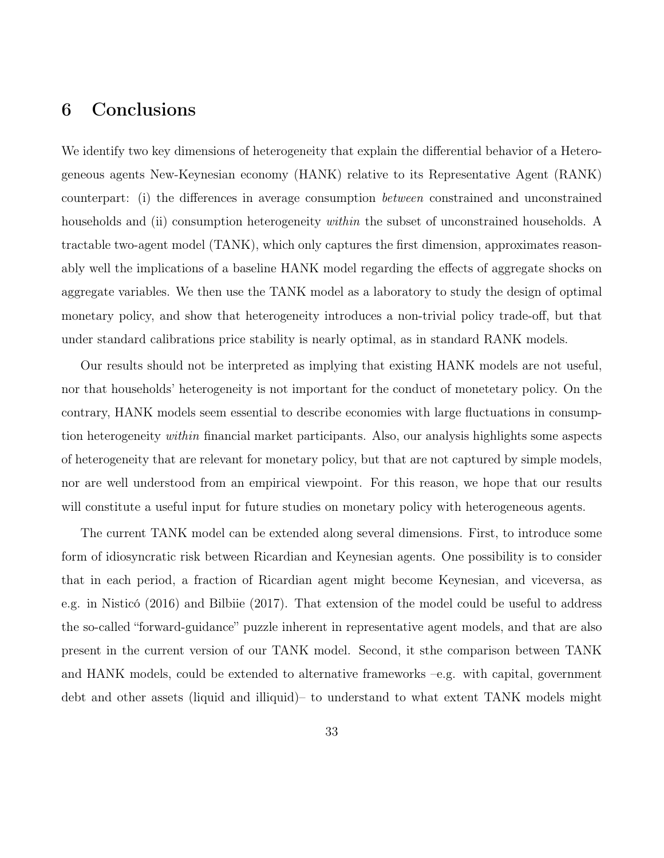## 6 Conclusions

We identify two key dimensions of heterogeneity that explain the differential behavior of a Heterogeneous agents New-Keynesian economy (HANK) relative to its Representative Agent (RANK) counterpart: (i) the differences in average consumption between constrained and unconstrained households and (ii) consumption heterogeneity *within* the subset of unconstrained households. A tractable two-agent model (TANK), which only captures the first dimension, approximates reasonably well the implications of a baseline HANK model regarding the effects of aggregate shocks on aggregate variables. We then use the TANK model as a laboratory to study the design of optimal monetary policy, and show that heterogeneity introduces a non-trivial policy trade-off, but that under standard calibrations price stability is nearly optimal, as in standard RANK models.

Our results should not be interpreted as implying that existing HANK models are not useful, nor that households' heterogeneity is not important for the conduct of monetetary policy. On the contrary, HANK models seem essential to describe economies with large fluctuations in consumption heterogeneity within financial market participants. Also, our analysis highlights some aspects of heterogeneity that are relevant for monetary policy, but that are not captured by simple models, nor are well understood from an empirical viewpoint. For this reason, we hope that our results will constitute a useful input for future studies on monetary policy with heterogeneous agents.

The current TANK model can be extended along several dimensions. First, to introduce some form of idiosyncratic risk between Ricardian and Keynesian agents. One possibility is to consider that in each period, a fraction of Ricardian agent might become Keynesian, and viceversa, as e.g. in Nisticó (2016) and Bilbiie (2017). That extension of the model could be useful to address the so-called "forward-guidance" puzzle inherent in representative agent models, and that are also present in the current version of our TANK model. Second, it sthe comparison between TANK and HANK models, could be extended to alternative frameworks –e.g. with capital, government debt and other assets (liquid and illiquid)– to understand to what extent TANK models might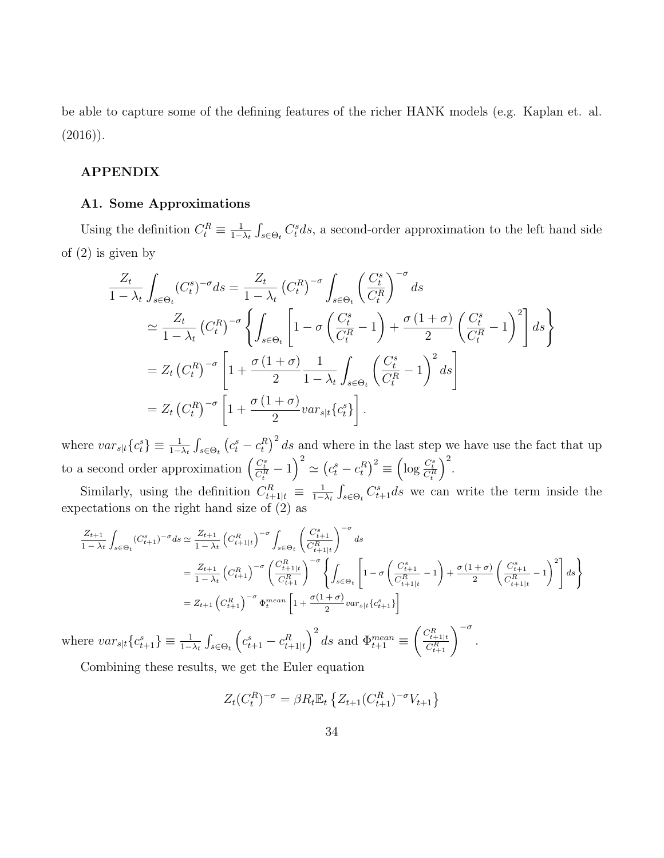be able to capture some of the defining features of the richer HANK models (e.g. Kaplan et. al.  $(2016)$ .

### APPENDIX

#### A1. Some Approximations

Using the definition  $C_t^R \equiv \frac{1}{1-\epsilon}$  $\frac{1}{1-\lambda_t} \int_{s \in \Theta_t} C_t^s ds$ , a second-order approximation to the left hand side of (2) is given by

$$
\frac{Z_t}{1-\lambda_t} \int_{s\in\Theta_t} (C_t^s)^{-\sigma} ds = \frac{Z_t}{1-\lambda_t} (C_t^R)^{-\sigma} \int_{s\in\Theta_t} \left(\frac{C_t^s}{C_t^R}\right)^{-\sigma} ds
$$
  
\n
$$
\approx \frac{Z_t}{1-\lambda_t} (C_t^R)^{-\sigma} \left\{ \int_{s\in\Theta_t} \left[1-\sigma \left(\frac{C_t^s}{C_t^R} - 1\right) + \frac{\sigma (1+\sigma)}{2} \left(\frac{C_t^s}{C_t^R} - 1\right)^2 \right] ds \right\}
$$
  
\n
$$
= Z_t (C_t^R)^{-\sigma} \left[1 + \frac{\sigma (1+\sigma)}{2} \frac{1}{1-\lambda_t} \int_{s\in\Theta_t} \left(\frac{C_t^s}{C_t^R} - 1\right)^2 ds \right]
$$
  
\n
$$
= Z_t (C_t^R)^{-\sigma} \left[1 + \frac{\sigma (1+\sigma)}{2} var_{s|t} \{c_t^s\} \right].
$$

where  $var_{s|t}\{c_i^s\} \equiv \frac{1}{1-\lambda_t} \int_{s \in \Theta_t} (c_i^s - c_i^R)^2 ds$  and where in the last step we have use the fact that up to a second order approximation  $\left(\frac{C_t^s}{C_t^R} - 1\right)^2 \simeq \left(c_t^s - c_t^R\right)^2 \equiv \left(\log \frac{C_t^s}{C_t^R}\right)$  $\big)^2$ .

Similarly, using the definition  $C_{t+1|t}^R \equiv \frac{1}{1-t}$  $\frac{1}{1-\lambda_t} \int_{s \in \Theta_t} C_{t+1}^s ds$  we can write the term inside the expectations on the right hand size of (2) as

$$
\frac{Z_{t+1}}{1 - \lambda_t} \int_{s \in \Theta_t} (C_{t+1}^s)^{-\sigma} ds \simeq \frac{Z_{t+1}}{1 - \lambda_t} \left( C_{t+1|t}^R \right)^{-\sigma} \int_{s \in \Theta_t} \left( \frac{C_{t+1}^s}{C_{t+1|t}^R} \right)^{-\sigma} ds
$$
\n
$$
= \frac{Z_{t+1}}{1 - \lambda_t} \left( C_{t+1}^R \right)^{-\sigma} \left( \frac{C_{t+1|t}^R}{C_{t+1}^R} \right)^{-\sigma} \left\{ \int_{s \in \Theta_t} \left[ 1 - \sigma \left( \frac{C_{t+1}^s}{C_{t+1|t}^R} - 1 \right) + \frac{\sigma (1 + \sigma)}{2} \left( \frac{C_{t+1}^s}{C_{t+1|t}^R} - 1 \right)^2 \right] ds \right\}
$$
\n
$$
= Z_{t+1} \left( C_{t+1}^R \right)^{-\sigma} \Phi_t^{mean} \left[ 1 + \frac{\sigma (1 + \sigma)}{2} var_{s|t} \{ c_{t+1}^s \} \right]
$$

where  $var_{s|t}\lbrace c_{t+1}^s\rbrace \equiv \frac{1}{1-\lambda_t} \int_{s \in \Theta_t}$  $\left(c_{t+1}^s - c_{t+1|t}^R\right)^2 ds$  and  $\Phi_{t+1}^{mean} \equiv$  $\left(\frac{C_{t+1|t}^R}{C_{t+1}^R}\right)^{-\sigma}.$ 

Combining these results, we get the Euler equation

$$
Z_t(C_t^R)^{-\sigma} = \beta R_t \mathbb{E}_t \left\{ Z_{t+1}(C_{t+1}^R)^{-\sigma} V_{t+1} \right\}
$$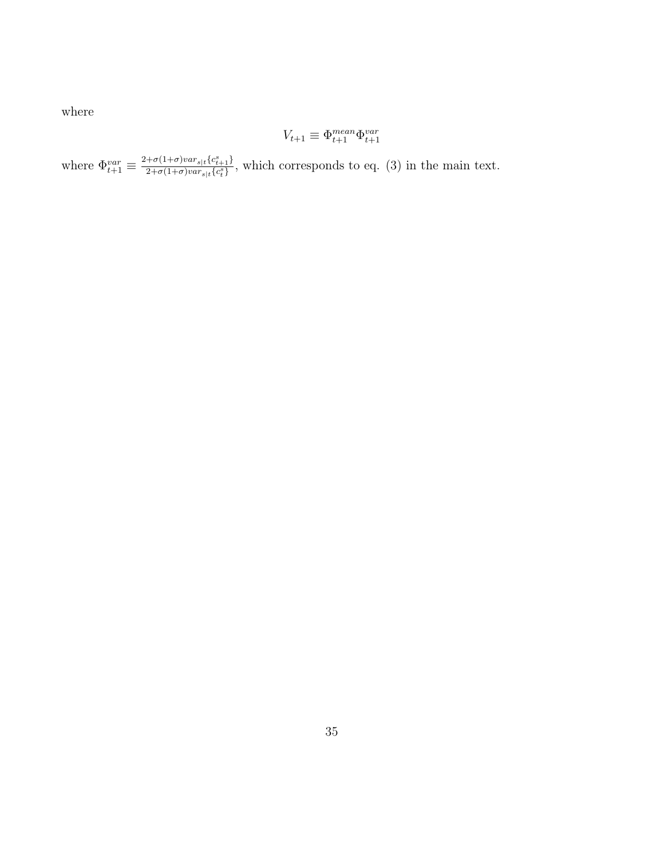where

$$
V_{t+1} \equiv \Phi_{t+1}^{mean} \Phi_{t+1}^{var}
$$

where  $\Phi_{t+1}^{var} \equiv \frac{2+\sigma(1+\sigma)var_{s|t}\{c_{t+1}^s\}}{2+\sigma(1+\sigma)var_{s|t}\{c_{t}^s\}}$  $\frac{1}{2+\sigma(1+\sigma)var_{s|t}e_{t+1}f}{\sigma}$ , which corresponds to eq. (3) in the main text.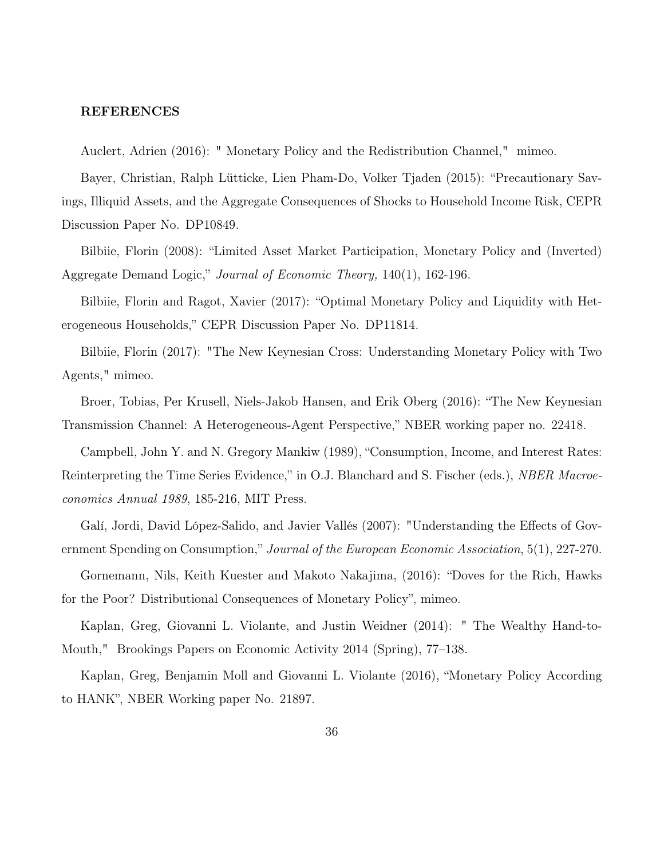### REFERENCES

Auclert, Adrien (2016): " Monetary Policy and the Redistribution Channel," mimeo.

Bayer, Christian, Ralph Lütticke, Lien Pham-Do, Volker Tjaden (2015): "Precautionary Savings, Illiquid Assets, and the Aggregate Consequences of Shocks to Household Income Risk, CEPR Discussion Paper No. DP10849.

Bilbiie, Florin (2008): "Limited Asset Market Participation, Monetary Policy and (Inverted) Aggregate Demand Logic," Journal of Economic Theory, 140(1), 162-196.

Bilbiie, Florin and Ragot, Xavier (2017): "Optimal Monetary Policy and Liquidity with Heterogeneous Households," CEPR Discussion Paper No. DP11814.

Bilbiie, Florin (2017): "The New Keynesian Cross: Understanding Monetary Policy with Two Agents," mimeo.

Broer, Tobias, Per Krusell, Niels-Jakob Hansen, and Erik Oberg (2016): "The New Keynesian Transmission Channel: A Heterogeneous-Agent Perspective," NBER working paper no. 22418.

Campbell, John Y. and N. Gregory Mankiw (1989), "Consumption, Income, and Interest Rates: Reinterpreting the Time Series Evidence," in O.J. Blanchard and S. Fischer (eds.), *NBER Macroe*conomics Annual 1989, 185-216, MIT Press.

Galí, Jordi, David López-Salido, and Javier Vallés (2007): "Understanding the Effects of Government Spending on Consumption," Journal of the European Economic Association, 5(1), 227-270.

Gornemann, Nils, Keith Kuester and Makoto Nakajima, (2016): "Doves for the Rich, Hawks for the Poor? Distributional Consequences of Monetary Policy", mimeo.

Kaplan, Greg, Giovanni L. Violante, and Justin Weidner (2014): " The Wealthy Hand-to-Mouth," Brookings Papers on Economic Activity 2014 (Spring), 77–138.

Kaplan, Greg, Benjamin Moll and Giovanni L. Violante (2016), "Monetary Policy According to HANK", NBER Working paper No. 21897.